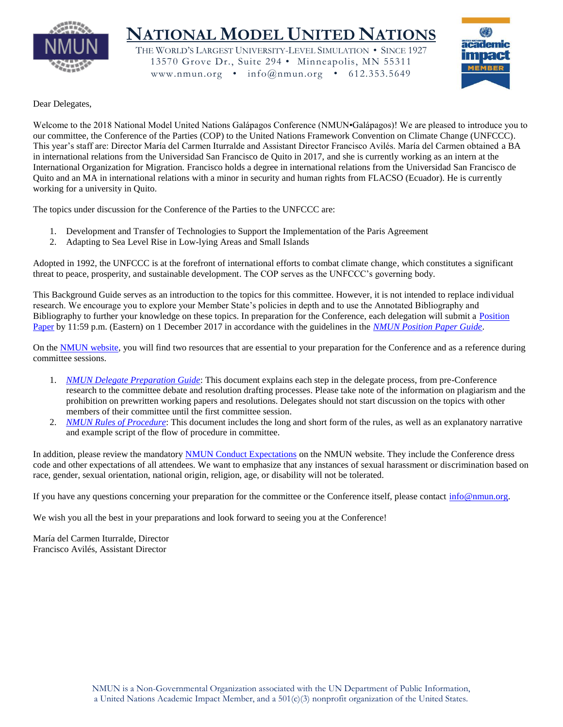

# **NATIONAL MODEL UNITED NATIONS**

THE WORLD'S LARGEST UNIVERSITY-LEVEL SIMULATION • SINCE 1927 13570 Grove Dr., Suite 294 • Minneapolis, MN 55311 www.nmun.org • info@nmun.org • 612.353.5649



#### Dear Delegates,

Welcome to the 2018 National Model United Nations Galápagos Conference (NMUN•Galápagos)! We are pleased to introduce you to our committee, the Conference of the Parties (COP) to the United Nations Framework Convention on Climate Change (UNFCCC). This year's staff are: Director María del Carmen Iturralde and Assistant Director Francisco Avilés. María del Carmen obtained a BA in international relations from the Universidad San Francisco de Quito in 2017, and she is currently working as an intern at the International Organization for Migration. Francisco holds a degree in international relations from the Universidad San Francisco de Quito and an MA in international relations with a minor in security and human rights from FLACSO (Ecuador). He is currently working for a university in Quito.

The topics under discussion for the Conference of the Parties to the UNFCCC are:

- 1. Development and Transfer of Technologies to Support the Implementation of the Paris Agreement
- 2. Adapting to Sea Level Rise in Low-lying Areas and Small Islands

Adopted in 1992, the UNFCCC is at the forefront of international efforts to combat climate change, which constitutes a significant threat to peace, prosperity, and sustainable development. The COP serves as the UNFCCC's governing body.

This Background Guide serves as an introduction to the topics for this committee. However, it is not intended to replace individual research. We encourage you to explore your Member State's policies in depth and to use the Annotated Bibliography and Bibliography to further your knowledge on these topics. In preparation for the Conference, each delegation will submit a Position [Paper](http://www.nmun.org/conferences/galapagos/prepare-for-committee/position-papers.html) by 11:59 p.m. (Eastern) on 1 December 2017 in accordance with the guidelines in the *[NMUN Position Paper Guide](http://www.nmun.org/assets/documents/NMUNPPGuide.pdf)*.

On the [NMUN website,](http://www.nmun.org/conferences/galapagos/prepare-for-committee/committee-materials.html) you will find two resources that are essential to your preparation for the Conference and as a reference during committee sessions.

- 1. *[NMUN Delegate Preparation Guide](http://www.nmun.org/assets/documents/NMUNDelegatePrepGuide.pdf)*: This document explains each step in the delegate process, from pre-Conference research to the committee debate and resolution drafting processes. Please take note of the information on plagiarism and the prohibition on prewritten working papers and resolutions. Delegates should not start discussion on the topics with other members of their committee until the first committee session.
- 2. *[NMUN Rules of Procedure](http://www.nmun.org/assets/documents/NMUNRules.pdf)*: This document includes the long and short form of the rules, as well as an explanatory narrative and example script of the flow of procedure in committee.

In addition, please review the mandatory [NMUN Conduct Expectations](http://www.nmun.org/conduct-expectations.html) on the NMUN website. They include the Conference dress code and other expectations of all attendees. We want to emphasize that any instances of sexual harassment or discrimination based on race, gender, sexual orientation, national origin, religion, age, or disability will not be tolerated.

If you have any questions concerning your preparation for the committee or the Conference itself, please contact [info@nmun.org.](mailto:info@nmun.org)

We wish you all the best in your preparations and look forward to seeing you at the Conference!

María del Carmen Iturralde, Director Francisco Avilés, Assistant Director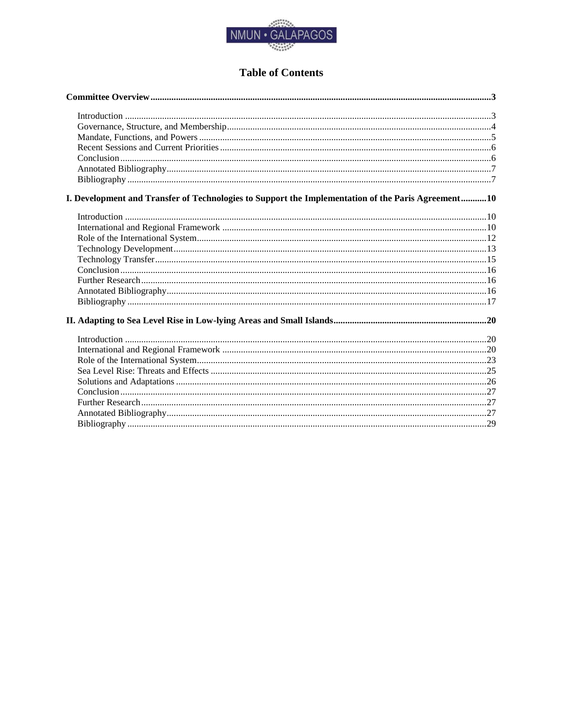

## **Table of Contents**

| I. Development and Transfer of Technologies to Support the Implementation of the Paris Agreement10 |  |
|----------------------------------------------------------------------------------------------------|--|
|                                                                                                    |  |
|                                                                                                    |  |
|                                                                                                    |  |
|                                                                                                    |  |
|                                                                                                    |  |
|                                                                                                    |  |
|                                                                                                    |  |
|                                                                                                    |  |
|                                                                                                    |  |
|                                                                                                    |  |
|                                                                                                    |  |
|                                                                                                    |  |
|                                                                                                    |  |
|                                                                                                    |  |
|                                                                                                    |  |
|                                                                                                    |  |
|                                                                                                    |  |
|                                                                                                    |  |
|                                                                                                    |  |
|                                                                                                    |  |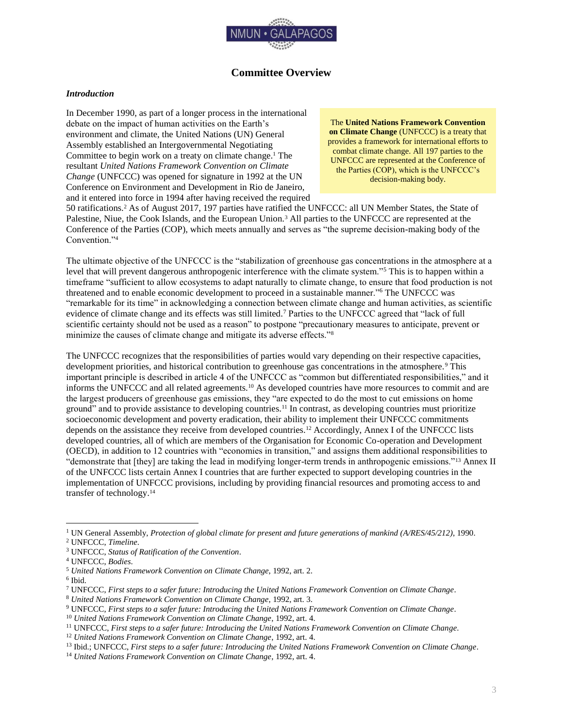

## **Committee Overview**

#### <span id="page-3-1"></span><span id="page-3-0"></span>*Introduction*

In December 1990, as part of a longer process in the international debate on the impact of human activities on the Earth's environment and climate, the United Nations (UN) General Assembly established an Intergovernmental Negotiating Committee to begin work on a treaty on climate change.<sup>1</sup> The resultant *United Nations Framework Convention on Climate Change* (UNFCCC) was opened for signature in 1992 at the UN Conference on Environment and Development in Rio de Janeiro, and it entered into force in 1994 after having received the required

The **United Nations Framework Convention on Climate Change** (UNFCCC) is a treaty that provides a framework for international efforts to combat climate change. All 197 parties to the UNFCCC are represented at the Conference of the Parties (COP), which is the UNFCCC's decision-making body.

50 ratifications.<sup>2</sup> As of August 2017, 197 parties have ratified the UNFCCC: all UN Member States, the State of Palestine, Niue, the Cook Islands, and the European Union.<sup>3</sup> All parties to the UNFCCC are represented at the Conference of the Parties (COP), which meets annually and serves as "the supreme decision-making body of the Convention."<sup>4</sup>

The ultimate objective of the UNFCCC is the "stabilization of greenhouse gas concentrations in the atmosphere at a level that will prevent dangerous anthropogenic interference with the climate system."<sup>5</sup> This is to happen within a timeframe "sufficient to allow ecosystems to adapt naturally to climate change, to ensure that food production is not threatened and to enable economic development to proceed in a sustainable manner."<sup>6</sup> The UNFCCC was "remarkable for its time" in acknowledging a connection between climate change and human activities, as scientific evidence of climate change and its effects was still limited.<sup>7</sup> Parties to the UNFCCC agreed that "lack of full scientific certainty should not be used as a reason" to postpone "precautionary measures to anticipate, prevent or minimize the causes of climate change and mitigate its adverse effects."<sup>8</sup>

The UNFCCC recognizes that the responsibilities of parties would vary depending on their respective capacities, development priorities, and historical contribution to greenhouse gas concentrations in the atmosphere.<sup>9</sup> This important principle is described in article 4 of the UNFCCC as "common but differentiated responsibilities," and it informs the UNFCCC and all related agreements.<sup>10</sup> As developed countries have more resources to commit and are the largest producers of greenhouse gas emissions, they "are expected to do the most to cut emissions on home ground" and to provide assistance to developing countries.<sup>11</sup> In contrast, as developing countries must prioritize socioeconomic development and poverty eradication, their ability to implement their UNFCCC commitments depends on the assistance they receive from developed countries.<sup>12</sup> Accordingly, Annex I of the UNFCCC lists developed countries, all of which are members of the Organisation for Economic Co-operation and Development (OECD), in addition to 12 countries with "economies in transition," and assigns them additional responsibilities to "demonstrate that [they] are taking the lead in modifying longer-term trends in anthropogenic emissions."<sup>13</sup> Annex II of the UNFCCC lists certain Annex I countries that are further expected to support developing countries in the implementation of UNFCCC provisions, including by providing financial resources and promoting access to and transfer of technology.<sup>14</sup>

6 Ibid.

<sup>1</sup> UN General Assembly, *Protection of global climate for present and future generations of mankind (A/RES/45/212)*, 1990.

<sup>2</sup> UNFCCC, *Timeline*.

<sup>3</sup> UNFCCC, *Status of Ratification of the Convention*.

<sup>4</sup> UNFCCC, *Bodies*.

<sup>5</sup> *United Nations Framework Convention on Climate Change*, 1992, art. 2.

<sup>7</sup> UNFCCC, *First steps to a safer future: Introducing the United Nations Framework Convention on Climate Change*.

<sup>8</sup> *United Nations Framework Convention on Climate Change*, 1992, art. 3.

<sup>9</sup> UNFCCC, *First steps to a safer future: Introducing the United Nations Framework Convention on Climate Change*.

<sup>10</sup> *United Nations Framework Convention on Climate Change*, 1992, art. 4.

<sup>11</sup> UNFCCC, *First steps to a safer future: Introducing the United Nations Framework Convention on Climate Change*.

<sup>12</sup> *United Nations Framework Convention on Climate Change*, 1992, art. 4.

<sup>13</sup> Ibid.; UNFCCC, *First steps to a safer future: Introducing the United Nations Framework Convention on Climate Change*.

<sup>14</sup> *United Nations Framework Convention on Climate Change*, 1992, art. 4.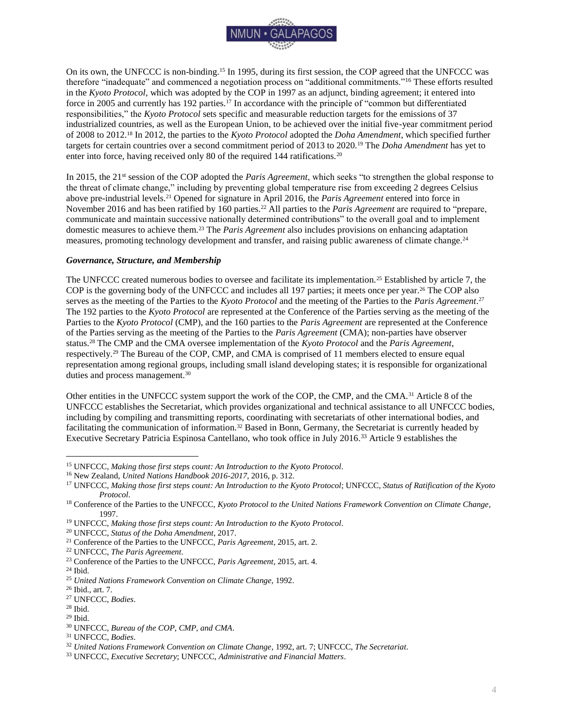

On its own, the UNFCCC is non-binding.<sup>15</sup> In 1995, during its first session, the COP agreed that the UNFCCC was therefore "inadequate" and commenced a negotiation process on "additional commitments."<sup>16</sup> These efforts resulted in the *Kyoto Protocol*, which was adopted by the COP in 1997 as an adjunct, binding agreement; it entered into force in 2005 and currently has 192 parties.<sup>17</sup> In accordance with the principle of "common but differentiated responsibilities," the *Kyoto Protocol* sets specific and measurable reduction targets for the emissions of 37 industrialized countries, as well as the European Union, to be achieved over the initial five-year commitment period of 2008 to 2012.<sup>18</sup> In 2012, the parties to the *Kyoto Protocol* adopted the *Doha Amendment*, which specified further targets for certain countries over a second commitment period of 2013 to 2020.<sup>19</sup> The *Doha Amendment* has yet to enter into force, having received only 80 of the required 144 ratifications.<sup>20</sup>

In 2015, the 21<sup>st</sup> session of the COP adopted the *Paris Agreement*, which seeks "to strengthen the global response to the threat of climate change," including by preventing global temperature rise from exceeding 2 degrees Celsius above pre-industrial levels.<sup>21</sup> Opened for signature in April 2016, the *Paris Agreement* entered into force in November 2016 and has been ratified by 160 parties.<sup>22</sup> All parties to the *Paris Agreement* are required to "prepare, communicate and maintain successive nationally determined contributions" to the overall goal and to implement domestic measures to achieve them.<sup>23</sup> The *Paris Agreement* also includes provisions on enhancing adaptation measures, promoting technology development and transfer, and raising public awareness of climate change.<sup>24</sup>

#### <span id="page-4-0"></span>*Governance, Structure, and Membership*

The UNFCCC created numerous bodies to oversee and facilitate its implementation.<sup>25</sup> Established by article 7, the COP is the governing body of the UNFCCC and includes all 197 parties; it meets once per year. <sup>26</sup> The COP also serves as the meeting of the Parties to the *Kyoto Protocol* and the meeting of the Parties to the *Paris Agreement*. 27 The 192 parties to the *Kyoto Protocol* are represented at the Conference of the Parties serving as the meeting of the Parties to the *Kyoto Protocol* (CMP), and the 160 parties to the *Paris Agreement* are represented at the Conference of the Parties serving as the meeting of the Parties to the *Paris Agreement* (CMA); non-parties have observer status.<sup>28</sup> The CMP and the CMA oversee implementation of the *Kyoto Protocol* and the *Paris Agreement*, respectively.<sup>29</sup> The Bureau of the COP, CMP, and CMA is comprised of 11 members elected to ensure equal representation among regional groups, including small island developing states; it is responsible for organizational duties and process management.<sup>30</sup>

Other entities in the UNFCCC system support the work of the COP, the CMP, and the CMA.<sup>31</sup> Article 8 of the UNFCCC establishes the Secretariat, which provides organizational and technical assistance to all UNFCCC bodies, including by compiling and transmitting reports, coordinating with secretariats of other international bodies, and facilitating the communication of information.<sup>32</sup> Based in Bonn, Germany, the Secretariat is currently headed by Executive Secretary Patricia Espinosa Cantellano, who took office in July 2016.<sup>33</sup> Article 9 establishes the

<sup>22</sup> UNFCCC, *The Paris Agreement*.

<sup>15</sup> UNFCCC, *Making those first steps count: An Introduction to the Kyoto Protocol*.

<sup>16</sup> New Zealand, *United Nations Handbook 2016-2017*, 2016, p. 312.

<sup>17</sup> UNFCCC, *Making those first steps count: An Introduction to the Kyoto Protocol*; UNFCCC, *Status of Ratification of the Kyoto Protocol*.

<sup>18</sup> Conference of the Parties to the UNFCCC, *Kyoto Protocol to the United Nations Framework Convention on Climate Change*, 1997.

<sup>19</sup> UNFCCC, *Making those first steps count: An Introduction to the Kyoto Protocol*.

<sup>20</sup> UNFCCC, *Status of the Doha Amendment*, 2017.

<sup>21</sup> Conference of the Parties to the UNFCCC, *Paris Agreement*, 2015, art. 2.

<sup>23</sup> Conference of the Parties to the UNFCCC, *Paris Agreement*, 2015, art. 4.

 $24$  Ibid.

<sup>25</sup> *United Nations Framework Convention on Climate Change*, 1992.

<sup>26</sup> Ibid., art. 7.

<sup>27</sup> UNFCCC, *Bodies*.

<sup>28</sup> Ibid.

 $29$  Ibid.

<sup>30</sup> UNFCCC, *Bureau of the COP, CMP, and CMA*.

<sup>31</sup> UNFCCC, *Bodies*.

<sup>32</sup> *United Nations Framework Convention on Climate Change*, 1992, art. 7; UNFCCC, *The Secretariat*.

<sup>33</sup> UNFCCC, *Executive Secretary*; UNFCCC, *Administrative and Financial Matters*.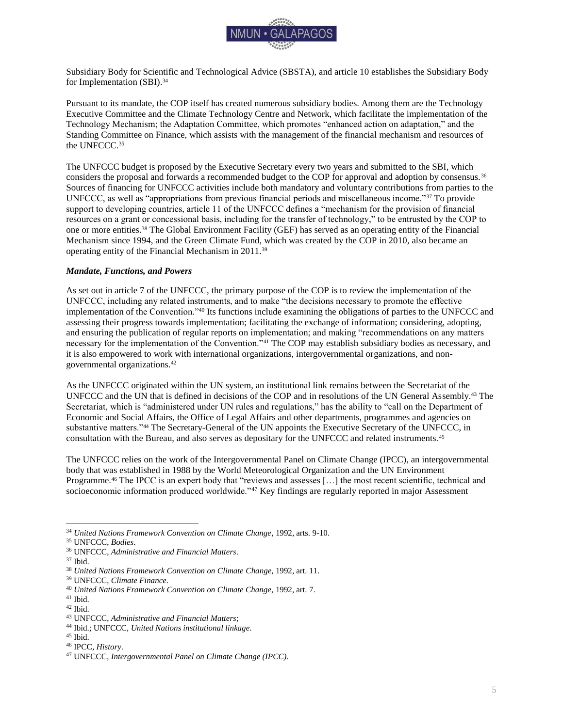

Subsidiary Body for Scientific and Technological Advice (SBSTA), and article 10 establishes the Subsidiary Body for Implementation (SBI).<sup>34</sup>

Pursuant to its mandate, the COP itself has created numerous subsidiary bodies. Among them are the Technology Executive Committee and the Climate Technology Centre and Network, which facilitate the implementation of the Technology Mechanism; the Adaptation Committee, which promotes "enhanced action on adaptation," and the Standing Committee on Finance, which assists with the management of the financial mechanism and resources of the UNFCCC.<sup>35</sup>

The UNFCCC budget is proposed by the Executive Secretary every two years and submitted to the SBI, which considers the proposal and forwards a recommended budget to the COP for approval and adoption by consensus.<sup>36</sup> Sources of financing for UNFCCC activities include both mandatory and voluntary contributions from parties to the UNFCCC, as well as "appropriations from previous financial periods and miscellaneous income."<sup>37</sup> To provide support to developing countries, article 11 of the UNFCCC defines a "mechanism for the provision of financial resources on a grant or concessional basis, including for the transfer of technology," to be entrusted by the COP to one or more entities.<sup>38</sup> The Global Environment Facility (GEF) has served as an operating entity of the Financial Mechanism since 1994, and the Green Climate Fund, which was created by the COP in 2010, also became an operating entity of the Financial Mechanism in 2011.<sup>39</sup>

#### <span id="page-5-0"></span>*Mandate, Functions, and Powers*

As set out in article 7 of the UNFCCC, the primary purpose of the COP is to review the implementation of the UNFCCC, including any related instruments, and to make "the decisions necessary to promote the effective implementation of the Convention."<sup>40</sup> Its functions include examining the obligations of parties to the UNFCCC and assessing their progress towards implementation; facilitating the exchange of information; considering, adopting, and ensuring the publication of regular reports on implementation; and making "recommendations on any matters necessary for the implementation of the Convention."<sup>41</sup> The COP may establish subsidiary bodies as necessary, and it is also empowered to work with international organizations, intergovernmental organizations, and nongovernmental organizations.<sup>42</sup>

As the UNFCCC originated within the UN system, an institutional link remains between the Secretariat of the UNFCCC and the UN that is defined in decisions of the COP and in resolutions of the UN General Assembly.<sup>43</sup> The Secretariat, which is "administered under UN rules and regulations," has the ability to "call on the Department of Economic and Social Affairs, the Office of Legal Affairs and other departments, programmes and agencies on substantive matters."<sup>44</sup> The Secretary-General of the UN appoints the Executive Secretary of the UNFCCC, in consultation with the Bureau, and also serves as depositary for the UNFCCC and related instruments.<sup>45</sup>

The UNFCCC relies on the work of the Intergovernmental Panel on Climate Change (IPCC), an intergovernmental body that was established in 1988 by the World Meteorological Organization and the UN Environment Programme.<sup>46</sup> The IPCC is an expert body that "reviews and assesses [...] the most recent scientific, technical and socioeconomic information produced worldwide."<sup>47</sup> Key findings are regularly reported in major Assessment

<sup>34</sup> *United Nations Framework Convention on Climate Change*, 1992, arts. 9-10.

<sup>35</sup> UNFCCC, *Bodies*.

<sup>36</sup> UNFCCC, *Administrative and Financial Matters*.

<sup>37</sup> Ibid.

<sup>38</sup> *United Nations Framework Convention on Climate Change*, 1992, art. 11.

<sup>39</sup> UNFCCC, *Climate Finance*.

<sup>40</sup> *United Nations Framework Convention on Climate Change*, 1992, art. 7.

<sup>41</sup> Ibid.

 $42$  Ibid.

<sup>43</sup> UNFCCC, *Administrative and Financial Matters*;

<sup>44</sup> Ibid.; UNFCCC, *United Nations institutional linkage*.

<sup>45</sup> Ibid.

<sup>46</sup> IPCC, *History*.

<sup>47</sup> UNFCCC, *Intergovernmental Panel on Climate Change (IPCC).*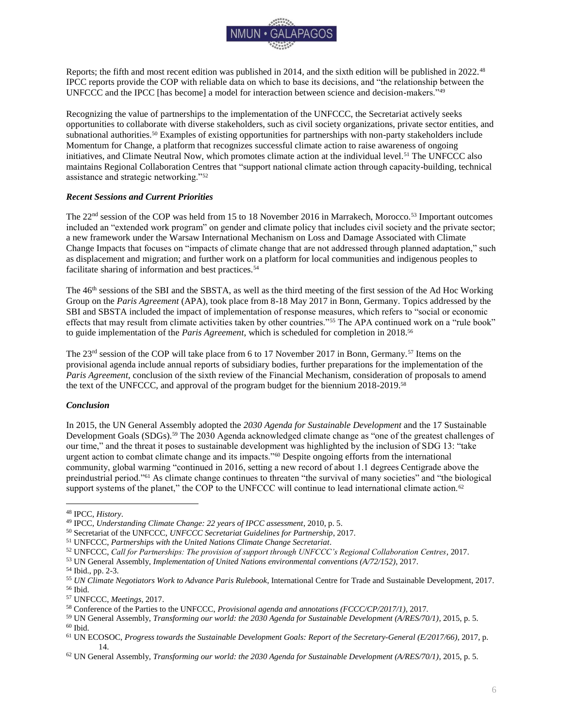

Reports; the fifth and most recent edition was published in 2014, and the sixth edition will be published in 2022.<sup>48</sup> IPCC reports provide the COP with reliable data on which to base its decisions, and "the relationship between the UNFCCC and the IPCC [has become] a model for interaction between science and decision-makers."<sup>49</sup>

Recognizing the value of partnerships to the implementation of the UNFCCC, the Secretariat actively seeks opportunities to collaborate with diverse stakeholders, such as civil society organizations, private sector entities, and subnational authorities.<sup>50</sup> Examples of existing opportunities for partnerships with non-party stakeholders include Momentum for Change, a platform that recognizes successful climate action to raise awareness of ongoing initiatives, and Climate Neutral Now, which promotes climate action at the individual level.<sup>51</sup> The UNFCCC also maintains Regional Collaboration Centres that "support national climate action through capacity-building, technical assistance and strategic networking."<sup>52</sup>

#### <span id="page-6-0"></span>*Recent Sessions and Current Priorities*

The 22<sup>nd</sup> session of the COP was held from 15 to 18 November 2016 in Marrakech, Morocco.<sup>53</sup> Important outcomes included an "extended work program" on gender and climate policy that includes civil society and the private sector; a new framework under the Warsaw International Mechanism on Loss and Damage Associated with Climate Change Impacts that focuses on "impacts of climate change that are not addressed through planned adaptation," such as displacement and migration; and further work on a platform for local communities and indigenous peoples to facilitate sharing of information and best practices.<sup>54</sup>

The 46th sessions of the SBI and the SBSTA, as well as the third meeting of the first session of the Ad Hoc Working Group on the *Paris Agreement* (APA), took place from 8-18 May 2017 in Bonn, Germany. Topics addressed by the SBI and SBSTA included the impact of implementation of response measures, which refers to "social or economic effects that may result from climate activities taken by other countries."<sup>55</sup> The APA continued work on a "rule book" to guide implementation of the *Paris Agreement*, which is scheduled for completion in 2018.<sup>56</sup>

The 23<sup>rd</sup> session of the COP will take place from 6 to 17 November 2017 in Bonn, Germany.<sup>57</sup> Items on the provisional agenda include annual reports of subsidiary bodies, further preparations for the implementation of the *Paris Agreement*, conclusion of the sixth review of the Financial Mechanism, consideration of proposals to amend the text of the UNFCCC, and approval of the program budget for the biennium 2018-2019.<sup>58</sup>

#### <span id="page-6-1"></span>*Conclusion*

In 2015, the UN General Assembly adopted the *2030 Agenda for Sustainable Development* and the 17 Sustainable Development Goals (SDGs).<sup>59</sup> The 2030 Agenda acknowledged climate change as "one of the greatest challenges of our time," and the threat it poses to sustainable development was highlighted by the inclusion of SDG 13: "take urgent action to combat climate change and its impacts."<sup>60</sup> Despite ongoing efforts from the international community, global warming "continued in 2016, setting a new record of about 1.1 degrees Centigrade above the preindustrial period."<sup>61</sup> As climate change continues to threaten "the survival of many societies" and "the biological support systems of the planet," the COP to the UNFCCC will continue to lead international climate action.<sup>62</sup>

<sup>48</sup> IPCC, *History*.

<sup>49</sup> IPCC, *Understanding Climate Change: 22 years of IPCC assessment*, 2010, p. 5.

<sup>50</sup> Secretariat of the UNFCCC, *UNFCCC Secretariat Guidelines for Partnership*, 2017.

<sup>51</sup> UNFCCC, *Partnerships with the United Nations Climate Change Secretariat*.

<sup>52</sup> UNFCCC, *Call for Partnerships: The provision of support through UNFCCC's Regional Collaboration Centres*, 2017.

<sup>53</sup> UN General Assembly, *Implementation of United Nations environmental conventions (A/72/152)*, 2017.

<sup>54</sup> Ibid., pp. 2-3.

<sup>55</sup> *UN Climate Negotiators Work to Advance Paris Rulebook*, International Centre for Trade and Sustainable Development, 2017. <sup>56</sup> Ibid.

<sup>57</sup> UNFCCC, *Meetings*, 2017.

<sup>58</sup> Conference of the Parties to the UNFCCC, *Provisional agenda and annotations (FCCC/CP/2017/1)*, 2017.

<sup>59</sup> UN General Assembly, *Transforming our world: the 2030 Agenda for Sustainable Development (A/RES/70/1)*, 2015, p. 5.  $60$  Ibid.

<sup>61</sup> UN ECOSOC, *Progress towards the Sustainable Development Goals: Report of the Secretary-General (E/2017/66)*, 2017, p. 14.

<sup>62</sup> UN General Assembly, *Transforming our world: the 2030 Agenda for Sustainable Development (A/RES/70/1)*, 2015, p. 5.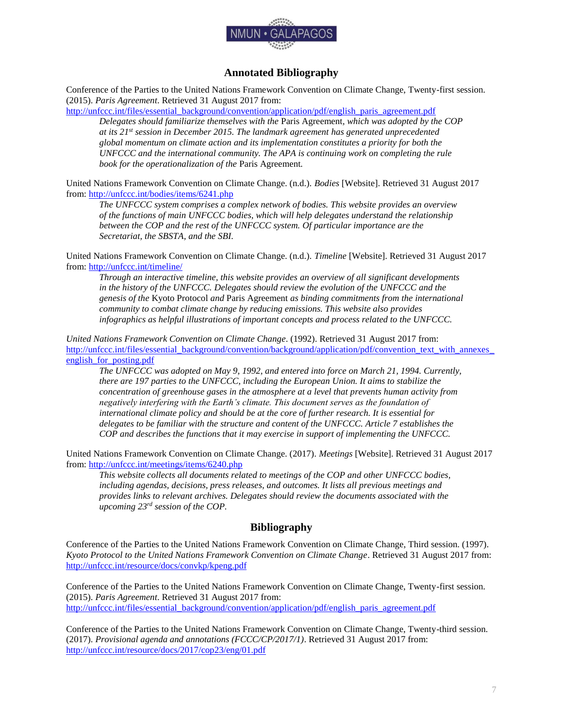

## **Annotated Bibliography**

<span id="page-7-0"></span>Conference of the Parties to the United Nations Framework Convention on Climate Change, Twenty-first session. (2015). *Paris Agreement*. Retrieved 31 August 2017 from:

[http://unfccc.int/files/essential\\_background/convention/application/pdf/english\\_paris\\_agreement.pdf](http://unfccc.int/files/essential_background/convention/application/pdf/english_paris_agreement.pdf)

*Delegates should familiarize themselves with the* Paris Agreement*, which was adopted by the COP at its 21st session in December 2015. The landmark agreement has generated unprecedented global momentum on climate action and its implementation constitutes a priority for both the UNFCCC and the international community. The APA is continuing work on completing the rule book for the operationalization of the* Paris Agreement*.*

United Nations Framework Convention on Climate Change. (n.d.). *Bodies* [Website]. Retrieved 31 August 2017 from[: http://unfccc.int/bodies/items/6241.php](http://unfccc.int/bodies/items/6241.php)

*The UNFCCC system comprises a complex network of bodies. This website provides an overview of the functions of main UNFCCC bodies, which will help delegates understand the relationship between the COP and the rest of the UNFCCC system. Of particular importance are the Secretariat, the SBSTA, and the SBI.*

United Nations Framework Convention on Climate Change. (n.d.). *Timeline* [Website]. Retrieved 31 August 2017 from[: http://unfccc.int/timeline/](http://unfccc.int/timeline/)

*Through an interactive timeline, this website provides an overview of all significant developments in the history of the UNFCCC. Delegates should review the evolution of the UNFCCC and the genesis of the* Kyoto Protocol *and* Paris Agreement *as binding commitments from the international community to combat climate change by reducing emissions. This website also provides infographics as helpful illustrations of important concepts and process related to the UNFCCC.*

*United Nations Framework Convention on Climate Change*. (1992). Retrieved 31 August 2017 from: http://unfccc.int/files/essential\_background/convention/background/application/pdf/convention\_text\_with\_annexes english for posting.pdf

*The UNFCCC was adopted on May 9, 1992, and entered into force on March 21, 1994. Currently, there are 197 parties to the UNFCCC, including the European Union. It aims to stabilize the concentration of greenhouse gases in the atmosphere at a level that prevents human activity from negatively interfering with the Earth's climate. This document serves as the foundation of international climate policy and should be at the core of further research. It is essential for delegates to be familiar with the structure and content of the UNFCCC. Article 7 establishes the COP and describes the functions that it may exercise in support of implementing the UNFCCC.*

United Nations Framework Convention on Climate Change. (2017). *Meetings* [Website]. Retrieved 31 August 2017 from[: http://unfccc.int/meetings/items/6240.php](http://unfccc.int/meetings/items/6240.php)

*This website collects all documents related to meetings of the COP and other UNFCCC bodies, including agendas, decisions, press releases, and outcomes. It lists all previous meetings and provides links to relevant archives. Delegates should review the documents associated with the upcoming 23rd session of the COP.*

## **Bibliography**

<span id="page-7-1"></span>Conference of the Parties to the United Nations Framework Convention on Climate Change, Third session. (1997). *Kyoto Protocol to the United Nations Framework Convention on Climate Change*. Retrieved 31 August 2017 from: <http://unfccc.int/resource/docs/convkp/kpeng.pdf>

Conference of the Parties to the United Nations Framework Convention on Climate Change, Twenty-first session. (2015). *Paris Agreement*. Retrieved 31 August 2017 from: [http://unfccc.int/files/essential\\_background/convention/application/pdf/english\\_paris\\_agreement.pdf](http://unfccc.int/files/essential_background/convention/application/pdf/english_paris_agreement.pdf)

Conference of the Parties to the United Nations Framework Convention on Climate Change, Twenty-third session. (2017). *Provisional agenda and annotations (FCCC/CP/2017/1)*. Retrieved 31 August 2017 from: <http://unfccc.int/resource/docs/2017/cop23/eng/01.pdf>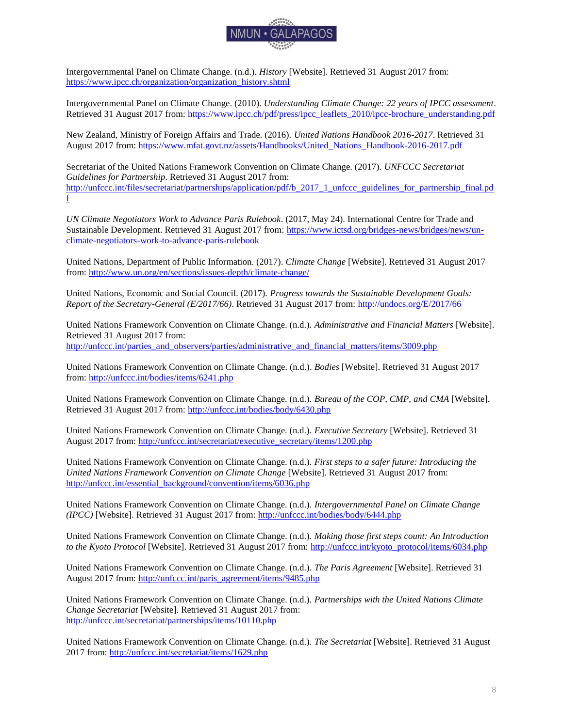

Intergovernmental Panel on Climate Change. (n.d.). *History* [Website]. Retrieved 31 August 2017 from: [https://www.ipcc.ch/organization/organization\\_history.shtml](https://www.ipcc.ch/organization/organization_history.shtml)

Intergovernmental Panel on Climate Change. (2010). *Understanding Climate Change: 22 years of IPCC assessment*. Retrieved 31 August 2017 from: https://www.jpcc.ch/pdf/press/ipcc\_leaflets\_2010/ipcc-brochure\_understanding.pdf

New Zealand, Ministry of Foreign Affairs and Trade. (2016). *United Nations Handbook 2016-2017*. Retrieved 31 August 2017 from: [https://www.mfat.govt.nz/assets/Handbooks/United\\_Nations\\_Handbook-2016-2017.pdf](https://www.mfat.govt.nz/assets/Handbooks/United_Nations_Handbook-2016-2017.pdf)

[Secretariat of the United Nations Framework Convention on Climate Change. \(2017\).](http://unfccc.int/files/secretariat/partnerships/application/pdf/b_2017_1_unfccc_guidelines_for_partnership_final.pdf) *UNFCCC Secretariat Guidelines for Partnership*[. Retrieved 31 August 2017 from:](http://unfccc.int/files/secretariat/partnerships/application/pdf/b_2017_1_unfccc_guidelines_for_partnership_final.pdf) [http://unfccc.int/files/secretariat/partnerships/application/pdf/b\\_2017\\_1\\_unfccc\\_guidelines\\_for\\_partnership\\_final.pd](http://unfccc.int/files/secretariat/partnerships/application/pdf/b_2017_1_unfccc_guidelines_for_partnership_final.pdf) [f](http://unfccc.int/files/secretariat/partnerships/application/pdf/b_2017_1_unfccc_guidelines_for_partnership_final.pdf)

*UN Climate Negotiators Work to Advance Paris Rulebook*. (2017, May 24). International Centre for Trade and Sustainable Development. Retrieved 31 August 2017 from: [https://www.ictsd.org/bridges-news/bridges/news/un](https://www.ictsd.org/bridges-news/bridges/news/un-climate-negotiators-work-to-advance-paris-rulebook)[climate-negotiators-work-to-advance-paris-rulebook](https://www.ictsd.org/bridges-news/bridges/news/un-climate-negotiators-work-to-advance-paris-rulebook)

United Nations, Department of Public Information. (2017). *Climate Change* [Website]. Retrieved 31 August 2017 from[: http://www.un.org/en/sections/issues-depth/climate-change/](http://www.un.org/en/sections/issues-depth/climate-change/) 

United Nations, Economic and Social Council. (2017). *Progress towards the Sustainable Development Goals: Report of the Secretary-General (E/2017/66)*. Retrieved 31 August 2017 from:<http://undocs.org/E/2017/66>

United Nations Framework Convention on Climate Change. (n.d.). *Administrative and Financial Matters* [Website]. Retrieved 31 August 2017 from: [http://unfccc.int/parties\\_and\\_observers/parties/administrative\\_and\\_financial\\_matters/items/3009.php](http://unfccc.int/parties_and_observers/parties/administrative_and_financial_matters/items/3009.php)

United Nations Framework Convention on Climate Change. (n.d.). *Bodies* [Website]. Retrieved 31 August 2017 from[: http://unfccc.int/bodies/items/6241.php](http://unfccc.int/bodies/items/6241.php)

United Nations Framework Convention on Climate Change. (n.d.). *Bureau of the COP, CMP, and CMA* [Website]. Retrieved 31 August 2017 from:<http://unfccc.int/bodies/body/6430.php>

United Nations Framework Convention on Climate Change. (n.d.). *Executive Secretary* [Website]. Retrieved 31 August 2017 from: [http://unfccc.int/secretariat/executive\\_secretary/items/1200.php](http://unfccc.int/secretariat/executive_secretary/items/1200.php)

United Nations Framework Convention on Climate Change. (n.d.). *First steps to a safer future: Introducing the United Nations Framework Convention on Climate Change* [Website]. Retrieved 31 August 2017 from: [http://unfccc.int/essential\\_background/convention/items/6036.php](http://unfccc.int/essential_background/convention/items/6036.php)

United Nations Framework Convention on Climate Change. (n.d.). *Intergovernmental Panel on Climate Change (IPCC)* [Website]. Retrieved 31 August 2017 from:<http://unfccc.int/bodies/body/6444.php>

United Nations Framework Convention on Climate Change. (n.d.). *Making those first steps count: An Introduction to the Kyoto Protocol* [Website]. Retrieved 31 August 2017 from: [http://unfccc.int/kyoto\\_protocol/items/6034.php](http://unfccc.int/kyoto_protocol/items/6034.php)

United Nations Framework Convention on Climate Change. (n.d.). *The Paris Agreement* [Website]. Retrieved 31 August 2017 from: [http://unfccc.int/paris\\_agreement/items/9485.php](http://unfccc.int/paris_agreement/items/9485.php)

United Nations Framework Convention on Climate Change. (n.d.). *Partnerships with the United Nations Climate Change Secretariat* [Website]. Retrieved 31 August 2017 from: <http://unfccc.int/secretariat/partnerships/items/10110.php>

United Nations Framework Convention on Climate Change. (n.d.). *The Secretariat* [Website]. Retrieved 31 August 2017 from:<http://unfccc.int/secretariat/items/1629.php>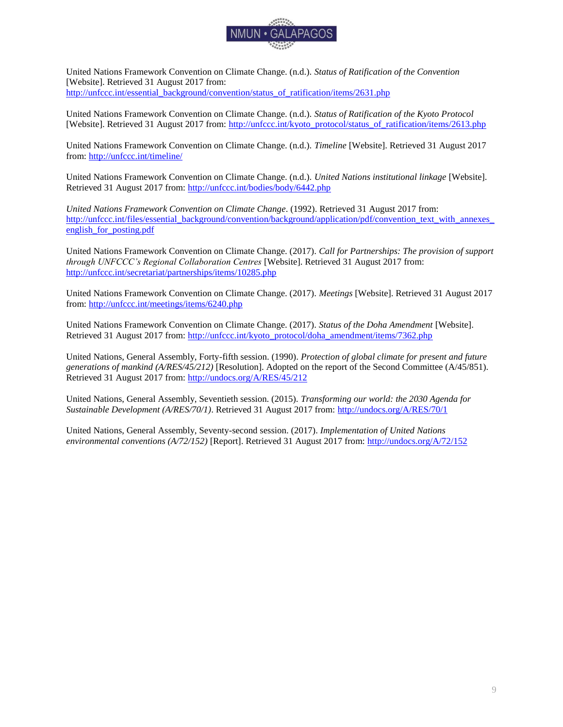

United Nations Framework Convention on Climate Change. (n.d.). *Status of Ratification of the Convention*  [Website]. Retrieved 31 August 2017 from: [http://unfccc.int/essential\\_background/convention/status\\_of\\_ratification/items/2631.php](http://unfccc.int/essential_background/convention/status_of_ratification/items/2631.php)

United Nations Framework Convention on Climate Change. (n.d.). *Status of Ratification of the Kyoto Protocol*  [Website]. Retrieved 31 August 2017 from: [http://unfccc.int/kyoto\\_protocol/status\\_of\\_ratification/items/2613.php](http://unfccc.int/kyoto_protocol/status_of_ratification/items/2613.php)

United Nations Framework Convention on Climate Change. (n.d.). *Timeline* [Website]. Retrieved 31 August 2017 from[: http://unfccc.int/timeline/](http://unfccc.int/timeline/)

United Nations Framework Convention on Climate Change. (n.d.). *United Nations institutional linkage* [Website]. Retrieved 31 August 2017 from:<http://unfccc.int/bodies/body/6442.php>

*United Nations Framework Convention on Climate Change*. (1992). Retrieved 31 August 2017 from: http://unfccc.int/files/essential\_background/convention/background/application/pdf/convention\_text\_with\_annexes english for posting.pdf

United Nations Framework Convention on Climate Change. (2017). *Call for Partnerships: The provision of support through UNFCCC's Regional Collaboration Centres* [Website]. Retrieved 31 August 2017 from: <http://unfccc.int/secretariat/partnerships/items/10285.php>

United Nations Framework Convention on Climate Change. (2017). *Meetings* [Website]. Retrieved 31 August 2017 from[: http://unfccc.int/meetings/items/6240.php](http://unfccc.int/meetings/items/6240.php)

United Nations Framework Convention on Climate Change. (2017). *Status of the Doha Amendment* [Website]. Retrieved 31 August 2017 from: [http://unfccc.int/kyoto\\_protocol/doha\\_amendment/items/7362.php](http://unfccc.int/kyoto_protocol/doha_amendment/items/7362.php)

United Nations, General Assembly, Forty-fifth session. (1990). *Protection of global climate for present and future generations of mankind (A/RES/45/212)* [Resolution]. Adopted on the report of the Second Committee (A/45/851). Retrieved 31 August 2017 from:<http://undocs.org/A/RES/45/212>

United Nations, General Assembly, Seventieth session. (2015). *Transforming our world: the 2030 Agenda for Sustainable Development (A/RES/70/1)*. Retrieved 31 August 2017 from:<http://undocs.org/A/RES/70/1>

United Nations, General Assembly, Seventy-second session. (2017). *Implementation of United Nations environmental conventions (A/72/152)* [Report]. Retrieved 31 August 2017 from[: http://undocs.org/A/72/152](http://undocs.org/A/72/152)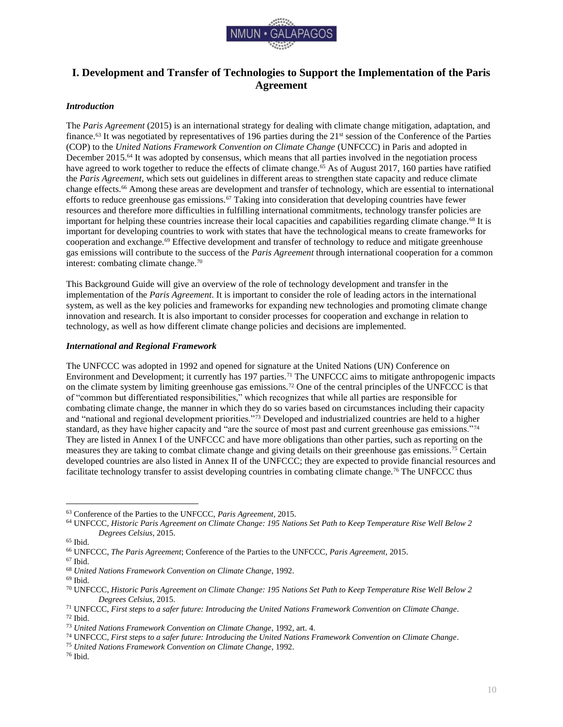

## <span id="page-10-0"></span>**I. Development and Transfer of Technologies to Support the Implementation of the Paris Agreement**

#### <span id="page-10-1"></span>*Introduction*

The *Paris Agreement* (2015) is an international strategy for dealing with climate change mitigation, adaptation, and finance.<sup>63</sup> It was negotiated by representatives of 196 parties during the 21<sup>st</sup> session of the Conference of the Parties (COP) to the *United Nations Framework Convention on Climate Change* (UNFCCC) in Paris and adopted in December 2015.<sup>64</sup> It was adopted by consensus, which means that all parties involved in the negotiation process have agreed to work together to reduce the effects of climate change.<sup>65</sup> As of August 2017, 160 parties have ratified the *Paris Agreement*, which sets out guidelines in different areas to strengthen state capacity and reduce climate change effects.<sup>66</sup> Among these areas are development and transfer of technology, which are essential to international efforts to reduce greenhouse gas emissions.<sup>67</sup> Taking into consideration that developing countries have fewer resources and therefore more difficulties in fulfilling international commitments, technology transfer policies are important for helping these countries increase their local capacities and capabilities regarding climate change.<sup>68</sup> It is important for developing countries to work with states that have the technological means to create frameworks for cooperation and exchange.<sup>69</sup> Effective development and transfer of technology to reduce and mitigate greenhouse gas emissions will contribute to the success of the *Paris Agreement* through international cooperation for a common interest: combating climate change.<sup>70</sup>

This Background Guide will give an overview of the role of technology development and transfer in the implementation of the *Paris Agreement*. It is important to consider the role of leading actors in the international system, as well as the key policies and frameworks for expanding new technologies and promoting climate change innovation and research. It is also important to consider processes for cooperation and exchange in relation to technology, as well as how different climate change policies and decisions are implemented.

#### <span id="page-10-2"></span>*International and Regional Framework*

The UNFCCC was adopted in 1992 and opened for signature at the United Nations (UN) Conference on Environment and Development; it currently has 197 parties.<sup>71</sup> The UNFCCC aims to mitigate anthropogenic impacts on the climate system by limiting greenhouse gas emissions.<sup>72</sup> One of the central principles of the UNFCCC is that of "common but differentiated responsibilities," which recognizes that while all parties are responsible for combating climate change, the manner in which they do so varies based on circumstances including their capacity and "national and regional development priorities."<sup>73</sup> Developed and industrialized countries are held to a higher standard, as they have higher capacity and "are the source of most past and current greenhouse gas emissions."<sup>74</sup> They are listed in Annex I of the UNFCCC and have more obligations than other parties, such as reporting on the measures they are taking to combat climate change and giving details on their greenhouse gas emissions.<sup>75</sup> Certain developed countries are also listed in Annex II of the UNFCCC; they are expected to provide financial resources and facilitate technology transfer to assist developing countries in combating climate change.<sup>76</sup> The UNFCCC thus

 $\overline{a}$ <sup>63</sup> Conference of the Parties to the UNFCCC, *Paris Agreement*, 2015.

<sup>64</sup> UNFCCC, *Historic Paris Agreement on Climate Change: 195 Nations Set Path to Keep Temperature Rise Well Below 2 Degrees Celsius*, 2015.

<sup>65</sup> Ibid.

<sup>66</sup> UNFCCC, *The Paris Agreement*; Conference of the Parties to the UNFCCC, *Paris Agreement*, 2015.

<sup>67</sup> Ibid.

<sup>68</sup> *United Nations Framework Convention on Climate Change*, 1992.

 $^{69}$  Ibid.

<sup>70</sup> UNFCCC, *Historic Paris Agreement on Climate Change: 195 Nations Set Path to Keep Temperature Rise Well Below 2 Degrees Celsius*, 2015.

<sup>71</sup> UNFCCC, *First steps to a safer future: Introducing the United Nations Framework Convention on Climate Change*. <sup>72</sup> Ibid.

<sup>73</sup> *United Nations Framework Convention on Climate Change*, 1992, art. 4.

<sup>74</sup> UNFCCC, *First steps to a safer future: Introducing the United Nations Framework Convention on Climate Change*.

<sup>75</sup> *United Nations Framework Convention on Climate Change*, 1992.

<sup>76</sup> Ibid.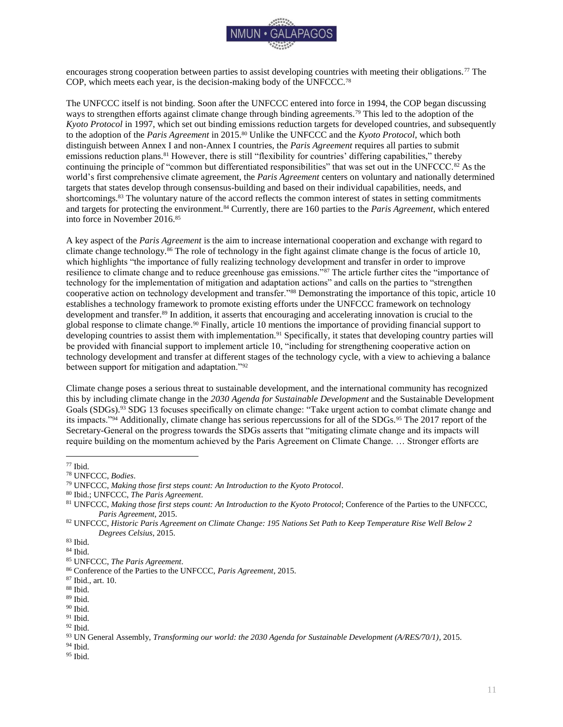

encourages strong cooperation between parties to assist developing countries with meeting their obligations.<sup>77</sup> The COP, which meets each year, is the decision-making body of the UNFCCC.<sup>78</sup>

The UNFCCC itself is not binding. Soon after the UNFCCC entered into force in 1994, the COP began discussing ways to strengthen efforts against climate change through binding agreements.<sup>79</sup> This led to the adoption of the *Kyoto Protocol* in 1997, which set out binding emissions reduction targets for developed countries, and subsequently to the adoption of the *Paris Agreement* in 2015.<sup>80</sup> Unlike the UNFCCC and the *Kyoto Protocol*, which both distinguish between Annex I and non-Annex I countries, the *Paris Agreement* requires all parties to submit emissions reduction plans.<sup>81</sup> However, there is still "flexibility for countries' differing capabilities," thereby continuing the principle of "common but differentiated responsibilities" that was set out in the UNFCCC.<sup>82</sup> As the world's first comprehensive climate agreement, the *Paris Agreement* centers on voluntary and nationally determined targets that states develop through consensus-building and based on their individual capabilities, needs, and shortcomings.<sup>83</sup> The voluntary nature of the accord reflects the common interest of states in setting commitments and targets for protecting the environment.<sup>84</sup> Currently, there are 160 parties to the *Paris Agreement*, which entered into force in November 2016.<sup>85</sup>

A key aspect of the *Paris Agreement* is the aim to increase international cooperation and exchange with regard to climate change technology.<sup>86</sup> The role of technology in the fight against climate change is the focus of article 10, which highlights "the importance of fully realizing technology development and transfer in order to improve resilience to climate change and to reduce greenhouse gas emissions."<sup>87</sup> The article further cites the "importance of technology for the implementation of mitigation and adaptation actions" and calls on the parties to "strengthen cooperative action on technology development and transfer."<sup>88</sup> Demonstrating the importance of this topic, article 10 establishes a technology framework to promote existing efforts under the UNFCCC framework on technology development and transfer.<sup>89</sup> In addition, it asserts that encouraging and accelerating innovation is crucial to the global response to climate change.<sup>90</sup> Finally, article 10 mentions the importance of providing financial support to developing countries to assist them with implementation.<sup>91</sup> Specifically, it states that developing country parties will be provided with financial support to implement article 10, "including for strengthening cooperative action on technology development and transfer at different stages of the technology cycle, with a view to achieving a balance between support for mitigation and adaptation."<sup>92</sup>

Climate change poses a serious threat to sustainable development, and the international community has recognized this by including climate change in the *2030 Agenda for Sustainable Development* and the Sustainable Development Goals (SDGs).<sup>93</sup> SDG 13 focuses specifically on climate change: "Take urgent action to combat climate change and its impacts."<sup>94</sup> Additionally, climate change has serious repercussions for all of the SDGs.<sup>95</sup> The 2017 report of the Secretary-General on the progress towards the SDGs asserts that "mitigating climate change and its impacts will require building on the momentum achieved by the Paris Agreement on Climate Change. … Stronger efforts are

 $\overline{a}$ 

<sup>94</sup> Ibid.

<sup>77</sup> Ibid.

<sup>78</sup> UNFCCC, *Bodies*.

<sup>79</sup> UNFCCC, *Making those first steps count: An Introduction to the Kyoto Protocol*.

<sup>80</sup> Ibid.; UNFCCC, *The Paris Agreement*.

<sup>81</sup> UNFCCC, *Making those first steps count: An Introduction to the Kyoto Protocol*; Conference of the Parties to the UNFCCC, *Paris Agreement*, 2015.

<sup>82</sup> UNFCCC, *Historic Paris Agreement on Climate Change: 195 Nations Set Path to Keep Temperature Rise Well Below 2 Degrees Celsius*, 2015.

<sup>83</sup> Ibid.

 $\,$  84 Ibid.

<sup>85</sup> UNFCCC, *The Paris Agreement*.

<sup>86</sup> Conference of the Parties to the UNFCCC, *Paris Agreement*, 2015.

<sup>87</sup> Ibid., art. 10.

<sup>88</sup> Ibid.

 $^{89}$  Ibid.

 $\rm^{90}$  Ibid.

 $91$  Ibid.  $92$  Ibid.

<sup>93</sup> UN General Assembly, *Transforming our world: the 2030 Agenda for Sustainable Development (A/RES/70/1)*, 2015.

<sup>95</sup> Ibid.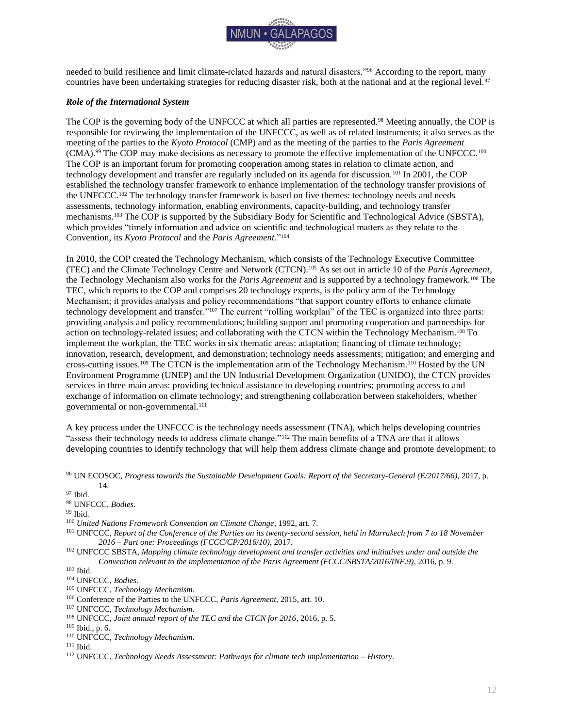

needed to build resilience and limit climate-related hazards and natural disasters."<sup>96</sup> According to the report, many countries have been undertaking strategies for reducing disaster risk, both at the national and at the regional level.<sup>97</sup>

#### <span id="page-12-0"></span>*Role of the International System*

The COP is the governing body of the UNFCCC at which all parties are represented.<sup>98</sup> Meeting annually, the COP is responsible for reviewing the implementation of the UNFCCC, as well as of related instruments; it also serves as the meeting of the parties to the *Kyoto Protocol* (CMP) and as the meeting of the parties to the *Paris Agreement*  (CMA).<sup>99</sup> The COP may make decisions as necessary to promote the effective implementation of the UNFCCC.<sup>100</sup> The COP is an important forum for promoting cooperation among states in relation to climate action, and technology development and transfer are regularly included on its agenda for discussion.<sup>101</sup> In 2001, the COP established the technology transfer framework to enhance implementation of the technology transfer provisions of the UNFCCC.<sup>102</sup> The technology transfer framework is based on five themes: technology needs and needs assessments, technology information, enabling environments, capacity-building, and technology transfer mechanisms.<sup>103</sup> The COP is supported by the Subsidiary Body for Scientific and Technological Advice (SBSTA), which provides "timely information and advice on scientific and technological matters as they relate to the Convention, its *Kyoto Protocol* and the *Paris Agreement*."<sup>104</sup>

In 2010, the COP created the Technology Mechanism, which consists of the Technology Executive Committee (TEC) and the Climate Technology Centre and Network (CTCN).<sup>105</sup> As set out in article 10 of the *Paris Agreement*, the Technology Mechanism also works for the *Paris Agreement* and is supported by a technology framework.<sup>106</sup> The TEC, which reports to the COP and comprises 20 technology experts, is the policy arm of the Technology Mechanism; it provides analysis and policy recommendations "that support country efforts to enhance climate technology development and transfer."<sup>107</sup> The current "rolling workplan" of the TEC is organized into three parts: providing analysis and policy recommendations; building support and promoting cooperation and partnerships for action on technology-related issues; and collaborating with the CTCN within the Technology Mechanism.<sup>108</sup> To implement the workplan, the TEC works in six thematic areas: adaptation; financing of climate technology; innovation, research, development, and demonstration; technology needs assessments; mitigation; and emerging and cross-cutting issues.<sup>109</sup> The CTCN is the implementation arm of the Technology Mechanism.<sup>110</sup> Hosted by the UN Environment Programme (UNEP) and the UN Industrial Development Organization (UNIDO), the CTCN provides services in three main areas: providing technical assistance to developing countries; promoting access to and exchange of information on climate technology; and strengthening collaboration between stakeholders, whether governmental or non-governmental.<sup>111</sup>

A key process under the UNFCCC is the technology needs assessment (TNA), which helps developing countries "assess their technology needs to address climate change."<sup>112</sup> The main benefits of a TNA are that it allows developing countries to identify technology that will help them address climate change and promote development; to

<sup>96</sup> UN ECOSOC, *Progress towards the Sustainable Development Goals: Report of the Secretary-General (E/2017/66)*, 2017, p. 14.

<sup>97</sup> Ibid.

<sup>98</sup> UNFCCC, *Bodies*.

<sup>99</sup> Ibid.

<sup>100</sup> *United Nations Framework Convention on Climate Change*, 1992, art. 7.

<sup>101</sup> UNFCCC, *Report of the Conference of the Parties on its twenty-second session, held in Marrakech from 7 to 18 November 2016 – Part one: Proceedings (FCCC/CP/2016/10)*, 2017.

<sup>102</sup> UNFCCC SBSTA, *Mapping climate technology development and transfer activities and initiatives under and outside the Convention relevant to the implementation of the Paris Agreement (FCCC/SBSTA/2016/INF.9)*, 2016, p. 9.

<sup>103</sup> Ibid.

<sup>104</sup> UNFCCC, *Bodies*.

<sup>105</sup> UNFCCC, *Technology Mechanism*.

<sup>106</sup> Conference of the Parties to the UNFCCC, *Paris Agreement*, 2015, art. 10.

<sup>107</sup> UNFCCC, *Technology Mechanism*.

<sup>108</sup> UNFCCC, *Joint annual report of the TEC and the CTCN for 2016*, 2016, p. 5.

<sup>109</sup> Ibid., p. 6.

<sup>110</sup> UNFCCC, *Technology Mechanism*.

<sup>111</sup> Ibid.

<sup>112</sup> UNFCCC, *Technology Needs Assessment: Pathways for climate tech implementation – History*.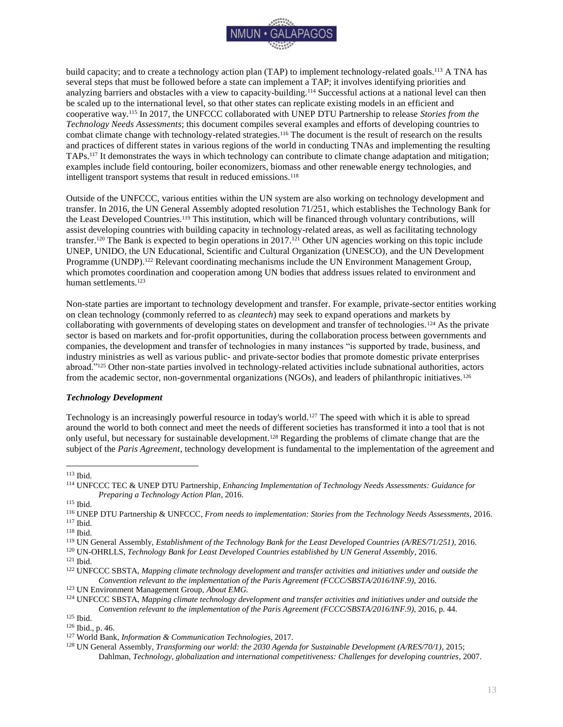

build capacity; and to create a technology action plan (TAP) to implement technology-related goals.<sup>113</sup> A TNA has several steps that must be followed before a state can implement a TAP; it involves identifying priorities and analyzing barriers and obstacles with a view to capacity-building.<sup>114</sup> Successful actions at a national level can then be scaled up to the international level, so that other states can replicate existing models in an efficient and cooperative way.<sup>115</sup> In 2017, the UNFCCC collaborated with UNEP DTU Partnership to release *Stories from the Technology Needs Assessments*; this document compiles several examples and efforts of developing countries to combat climate change with technology-related strategies.<sup>116</sup> The document is the result of research on the results and practices of different states in various regions of the world in conducting TNAs and implementing the resulting TAPs.<sup>117</sup> It demonstrates the ways in which technology can contribute to climate change adaptation and mitigation; examples include field contouring, boiler economizers, biomass and other renewable energy technologies, and intelligent transport systems that result in reduced emissions.<sup>118</sup>

Outside of the UNFCCC, various entities within the UN system are also working on technology development and transfer. In 2016, the UN General Assembly adopted resolution 71/251, which establishes the Technology Bank for the Least Developed Countries.<sup>119</sup> This institution, which will be financed through voluntary contributions, will assist developing countries with building capacity in technology-related areas, as well as facilitating technology transfer.<sup>120</sup> The Bank is expected to begin operations in 2017.<sup>121</sup> Other UN agencies working on this topic include UNEP, UNIDO, the UN Educational, Scientific and Cultural Organization (UNESCO), and the UN Development Programme (UNDP).<sup>122</sup> Relevant coordinating mechanisms include the UN Environment Management Group, which promotes coordination and cooperation among UN bodies that address issues related to environment and human settlements.<sup>123</sup>

Non-state parties are important to technology development and transfer. For example, private-sector entities working on clean technology (commonly referred to as *cleantech*) may seek to expand operations and markets by collaborating with governments of developing states on development and transfer of technologies.<sup>124</sup> As the private sector is based on markets and for-profit opportunities, during the collaboration process between governments and companies, the development and transfer of technologies in many instances "is supported by trade, business, and industry ministries as well as various public- and private-sector bodies that promote domestic private enterprises abroad."<sup>125</sup> Other non-state parties involved in technology-related activities include subnational authorities, actors from the academic sector, non-governmental organizations (NGOs), and leaders of philanthropic initiatives.<sup>126</sup>

#### <span id="page-13-0"></span>*Technology Development*

Technology is an increasingly powerful resource in today's world.<sup>127</sup> The speed with which it is able to spread around the world to both connect and meet the needs of different societies has transformed it into a tool that is not only useful, but necessary for sustainable development.<sup>128</sup> Regarding the problems of climate change that are the subject of the *Paris Agreement*, technology development is fundamental to the implementation of the agreement and

 $\overline{a}$ 

<sup>121</sup> Ibid.

<sup>113</sup> Ibid.

<sup>114</sup> UNFCCC TEC & UNEP DTU Partnership, *Enhancing Implementation of Technology Needs Assessments: Guidance for Preparing a Technology Action Plan*, 2016.

<sup>115</sup> Ibid.

<sup>116</sup> UNEP DTU Partnership & UNFCCC, *From needs to implementation: Stories from the Technology Needs Assessments,* 2016. <sup>117</sup> Ibid.

 $^{118}$  Ibid.

<sup>119</sup> UN General Assembly, *Establishment of the Technology Bank for the Least Developed Countries (A/RES/71/251)*, 2016.

<sup>120</sup> UN-OHRLLS, *Technology Bank for Least Developed Countries established by UN General Assembly*, 2016.

<sup>122</sup> UNFCCC SBSTA, *Mapping climate technology development and transfer activities and initiatives under and outside the Convention relevant to the implementation of the Paris Agreement (FCCC/SBSTA/2016/INF.9)*, 2016.

<sup>123</sup> UN Environment Management Group, *About EMG.*

<sup>124</sup> UNFCCC SBSTA, *Mapping climate technology development and transfer activities and initiatives under and outside the Convention relevant to the implementation of the Paris Agreement (FCCC/SBSTA/2016/INF.9)*, 2016, p. 44.

<sup>125</sup> Ibid.

<sup>126</sup> Ibid., p. 46.

<sup>127</sup> World Bank, *Information & Communication Technologies*, 2017.

<sup>128</sup> UN General Assembly, *Transforming our world: the 2030 Agenda for Sustainable Development (A/RES/70/1)*, 2015; Dahlman, *Technology, globalization and international competitiveness: Challenges for developing countries*, 2007.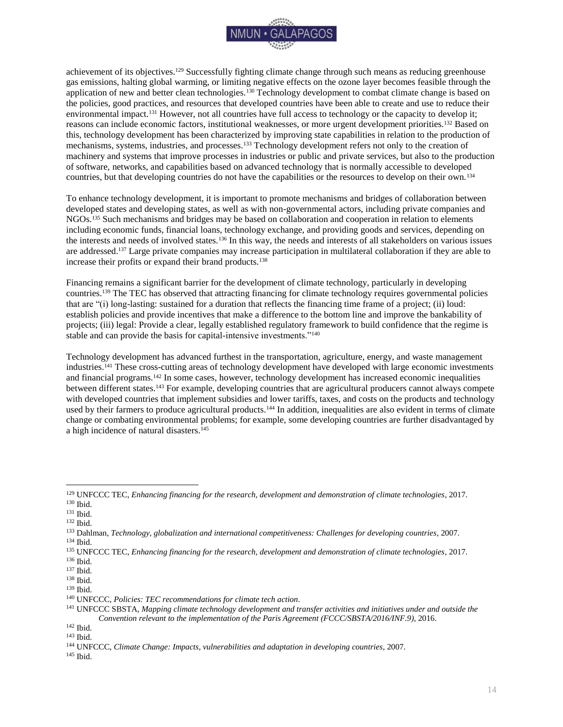

achievement of its objectives.<sup>129</sup> Successfully fighting climate change through such means as reducing greenhouse gas emissions, halting global warming, or limiting negative effects on the ozone layer becomes feasible through the application of new and better clean technologies.<sup>130</sup> Technology development to combat climate change is based on the policies, good practices, and resources that developed countries have been able to create and use to reduce their environmental impact.<sup>131</sup> However, not all countries have full access to technology or the capacity to develop it; reasons can include economic factors, institutional weaknesses, or more urgent development priorities.<sup>132</sup> Based on this, technology development has been characterized by improving state capabilities in relation to the production of mechanisms, systems, industries, and processes.<sup>133</sup> Technology development refers not only to the creation of machinery and systems that improve processes in industries or public and private services, but also to the production of software, networks, and capabilities based on advanced technology that is normally accessible to developed countries, but that developing countries do not have the capabilities or the resources to develop on their own.<sup>134</sup>

To enhance technology development, it is important to promote mechanisms and bridges of collaboration between developed states and developing states, as well as with non-governmental actors, including private companies and NGOs.<sup>135</sup> Such mechanisms and bridges may be based on collaboration and cooperation in relation to elements including economic funds, financial loans, technology exchange, and providing goods and services, depending on the interests and needs of involved states.<sup>136</sup> In this way, the needs and interests of all stakeholders on various issues are addressed.<sup>137</sup> Large private companies may increase participation in multilateral collaboration if they are able to increase their profits or expand their brand products.<sup>138</sup>

Financing remains a significant barrier for the development of climate technology, particularly in developing countries.<sup>139</sup> The TEC has observed that attracting financing for climate technology requires governmental policies that are "(i) long-lasting: sustained for a duration that reflects the financing time frame of a project; (ii) loud: establish policies and provide incentives that make a difference to the bottom line and improve the bankability of projects; (iii) legal: Provide a clear, legally established regulatory framework to build confidence that the regime is stable and can provide the basis for capital-intensive investments."<sup>140</sup>

Technology development has advanced furthest in the transportation, agriculture, energy, and waste management industries.<sup>141</sup> These cross-cutting areas of technology development have developed with large economic investments and financial programs.<sup>142</sup> In some cases, however, technology development has increased economic inequalities between different states.<sup>143</sup> For example, developing countries that are agricultural producers cannot always compete with developed countries that implement subsidies and lower tariffs, taxes, and costs on the products and technology used by their farmers to produce agricultural products.<sup>144</sup> In addition, inequalities are also evident in terms of climate change or combating environmental problems; for example, some developing countries are further disadvantaged by a high incidence of natural disasters.<sup>145</sup>

<sup>129</sup> UNFCCC TEC, *Enhancing financing for the research, development and demonstration of climate technologies*, 2017. <sup>130</sup> Ibid.

<sup>131</sup> Ibid.

<sup>132</sup> Ibid.

<sup>133</sup> Dahlman, *Technology, globalization and international competitiveness: Challenges for developing countries*, 2007.

<sup>134</sup> Ibid.

<sup>135</sup> UNFCCC TEC, *Enhancing financing for the research, development and demonstration of climate technologies*, 2017. <sup>136</sup> Ibid.

<sup>137</sup> Ibid.

<sup>138</sup> Ibid.

<sup>139</sup> Ibid.

<sup>140</sup> UNFCCC, *Policies: TEC recommendations for climate tech action*.

<sup>141</sup> UNFCCC SBSTA, *Mapping climate technology development and transfer activities and initiatives under and outside the Convention relevant to the implementation of the Paris Agreement (FCCC/SBSTA/2016/INF.9)*, 2016.

<sup>142</sup> Ibid.

<sup>143</sup> Ibid.

<sup>144</sup> UNFCCC, *Climate Change: Impacts, vulnerabilities and adaptation in developing countries*, 2007.

<sup>145</sup> Ibid.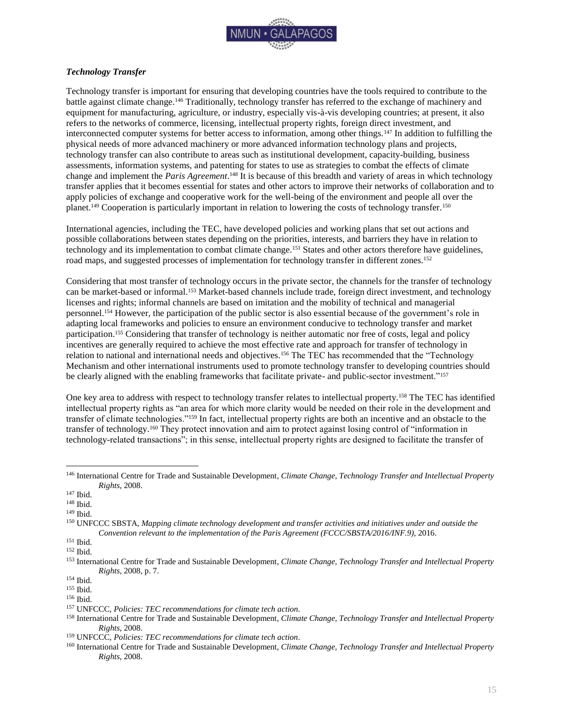

#### <span id="page-15-0"></span>*Technology Transfer*

Technology transfer is important for ensuring that developing countries have the tools required to contribute to the battle against climate change.<sup>146</sup> Traditionally, technology transfer has referred to the exchange of machinery and equipment for manufacturing, agriculture, or industry, especially vis-à-vis developing countries; at present, it also refers to the networks of commerce, licensing, intellectual property rights, foreign direct investment, and interconnected computer systems for better access to information, among other things.<sup>147</sup> In addition to fulfilling the physical needs of more advanced machinery or more advanced information technology plans and projects, technology transfer can also contribute to areas such as institutional development, capacity-building, business assessments, information systems, and patenting for states to use as strategies to combat the effects of climate change and implement the *Paris Agreement*. <sup>148</sup> It is because of this breadth and variety of areas in which technology transfer applies that it becomes essential for states and other actors to improve their networks of collaboration and to apply policies of exchange and cooperative work for the well-being of the environment and people all over the planet.<sup>149</sup> Cooperation is particularly important in relation to lowering the costs of technology transfer.<sup>150</sup>

International agencies, including the TEC, have developed policies and working plans that set out actions and possible collaborations between states depending on the priorities, interests, and barriers they have in relation to technology and its implementation to combat climate change.<sup>151</sup> States and other actors therefore have guidelines, road maps, and suggested processes of implementation for technology transfer in different zones.<sup>152</sup>

Considering that most transfer of technology occurs in the private sector, the channels for the transfer of technology can be market-based or informal.<sup>153</sup> Market-based channels include trade, foreign direct investment, and technology licenses and rights; informal channels are based on imitation and the mobility of technical and managerial personnel.<sup>154</sup> However, the participation of the public sector is also essential because of the government's role in adapting local frameworks and policies to ensure an environment conducive to technology transfer and market participation.<sup>155</sup> Considering that transfer of technology is neither automatic nor free of costs, legal and policy incentives are generally required to achieve the most effective rate and approach for transfer of technology in relation to national and international needs and objectives.<sup>156</sup> The TEC has recommended that the "Technology Mechanism and other international instruments used to promote technology transfer to developing countries should be clearly aligned with the enabling frameworks that facilitate private- and public-sector investment."<sup>157</sup>

One key area to address with respect to technology transfer relates to intellectual property.<sup>158</sup> The TEC has identified intellectual property rights as "an area for which more clarity would be needed on their role in the development and transfer of climate technologies."<sup>159</sup> In fact, intellectual property rights are both an incentive and an obstacle to the transfer of technology.<sup>160</sup> They protect innovation and aim to protect against losing control of "information in technology-related transactions"; in this sense, intellectual property rights are designed to facilitate the transfer of

<sup>146</sup> International Centre for Trade and Sustainable Development, *Climate Change, Technology Transfer and Intellectual Property Rights*, 2008.

<sup>147</sup> Ibid.

<sup>148</sup> Ibid.

<sup>149</sup> Ibid.

<sup>150</sup> UNFCCC SBSTA, *Mapping climate technology development and transfer activities and initiatives under and outside the Convention relevant to the implementation of the Paris Agreement (FCCC/SBSTA/2016/INF.9)*, 2016.

<sup>151</sup> Ibid.

<sup>152</sup> Ibid.

<sup>153</sup> International Centre for Trade and Sustainable Development, *Climate Change, Technology Transfer and Intellectual Property Rights*, 2008, p. 7.

<sup>154</sup> Ibid.

<sup>155</sup> Ibid.

<sup>156</sup> Ibid.

<sup>157</sup> UNFCCC, *Policies: TEC recommendations for climate tech action*.

<sup>158</sup> International Centre for Trade and Sustainable Development, *Climate Change, Technology Transfer and Intellectual Property Rights*, 2008.

<sup>159</sup> UNFCCC, *Policies: TEC recommendations for climate tech action*.

<sup>160</sup> International Centre for Trade and Sustainable Development, *Climate Change, Technology Transfer and Intellectual Property Rights*, 2008.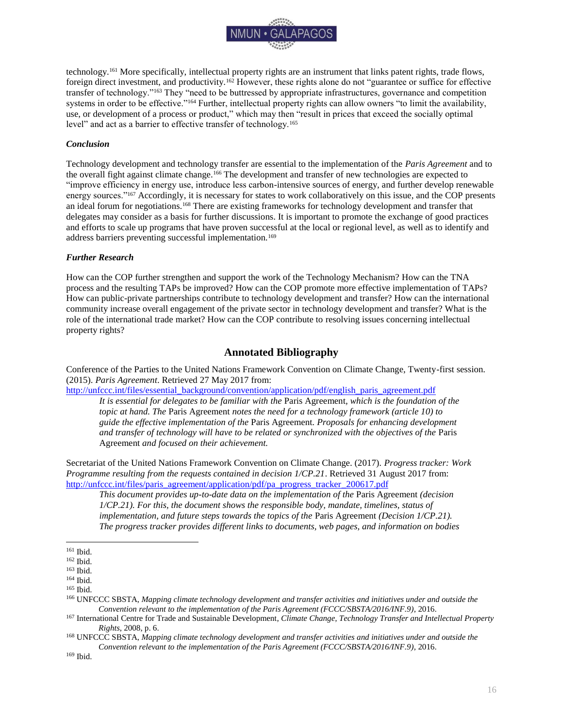

technology.<sup>161</sup> More specifically, intellectual property rights are an instrument that links patent rights, trade flows, foreign direct investment, and productivity.<sup>162</sup> However, these rights alone do not "guarantee or suffice for effective transfer of technology."<sup>163</sup> They "need to be buttressed by appropriate infrastructures, governance and competition systems in order to be effective."<sup>164</sup> Further, intellectual property rights can allow owners "to limit the availability, use, or development of a process or product," which may then "result in prices that exceed the socially optimal level" and act as a barrier to effective transfer of technology.<sup>165</sup>

#### <span id="page-16-0"></span>*Conclusion*

Technology development and technology transfer are essential to the implementation of the *Paris Agreement* and to the overall fight against climate change.<sup>166</sup> The development and transfer of new technologies are expected to "improve efficiency in energy use, introduce less carbon-intensive sources of energy, and further develop renewable energy sources."<sup>167</sup> Accordingly, it is necessary for states to work collaboratively on this issue, and the COP presents an ideal forum for negotiations.<sup>168</sup> There are existing frameworks for technology development and transfer that delegates may consider as a basis for further discussions. It is important to promote the exchange of good practices and efforts to scale up programs that have proven successful at the local or regional level, as well as to identify and address barriers preventing successful implementation.<sup>169</sup>

#### <span id="page-16-1"></span>*Further Research*

How can the COP further strengthen and support the work of the Technology Mechanism? How can the TNA process and the resulting TAPs be improved? How can the COP promote more effective implementation of TAPs? How can public-private partnerships contribute to technology development and transfer? How can the international community increase overall engagement of the private sector in technology development and transfer? What is the role of the international trade market? How can the COP contribute to resolving issues concerning intellectual property rights?

## **Annotated Bibliography**

<span id="page-16-2"></span>Conference of the Parties to the United Nations Framework Convention on Climate Change, Twenty-first session. (2015). *Paris Agreement*. Retrieved 27 May 2017 from:

[http://unfccc.int/files/essential\\_background/convention/application/pdf/english\\_paris\\_agreement.pdf](http://unfccc.int/files/essential_background/convention/application/pdf/english_paris_agreement.pdf)

*It is essential for delegates to be familiar with the* Paris Agreement*, which is the foundation of the topic at hand. The* Paris Agreement *notes the need for a technology framework (article 10) to guide the effective implementation of the* Paris Agreement*. Proposals for enhancing development and transfer of technology will have to be related or synchronized with the objectives of the* Paris Agreement *and focused on their achievement.*

Secretariat of the United Nations Framework Convention on Climate Change. (2017). *Progress tracker: Work Programme resulting from the requests contained in decision 1/CP.21*. Retrieved 31 August 2017 from: [http://unfccc.int/files/paris\\_agreement/application/pdf/pa\\_progress\\_tracker\\_200617.pdf](http://unfccc.int/files/paris_agreement/application/pdf/pa_progress_tracker_200617.pdf)

*This document provides up-to-date data on the implementation of the* Paris Agreement *(decision 1/CP.21). For this, the document shows the responsible body, mandate, timelines, status of implementation, and future steps towards the topics of the* Paris Agreement *(Decision 1/CP.21). The progress tracker provides different links to documents, web pages, and information on bodies* 

 $\overline{a}$ 

<sup>168</sup> UNFCCC SBSTA, *Mapping climate technology development and transfer activities and initiatives under and outside the Convention relevant to the implementation of the Paris Agreement (FCCC/SBSTA/2016/INF.9)*, 2016.

<sup>161</sup> Ibid.

<sup>162</sup> Ibid.

<sup>163</sup> Ibid.

<sup>164</sup> Ibid.

<sup>165</sup> Ibid.

<sup>166</sup> UNFCCC SBSTA, *Mapping climate technology development and transfer activities and initiatives under and outside the Convention relevant to the implementation of the Paris Agreement (FCCC/SBSTA/2016/INF.9)*, 2016.

<sup>167</sup> International Centre for Trade and Sustainable Development, *Climate Change, Technology Transfer and Intellectual Property Rights*, 2008, p. 6.

<sup>169</sup> Ibid.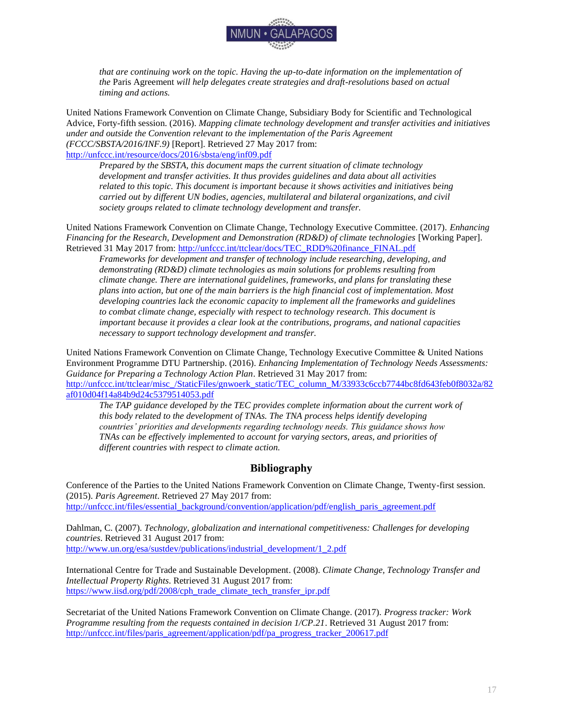

*that are continuing work on the topic. Having the up-to-date information on the implementation of the* Paris Agreement *will help delegates create strategies and draft-resolutions based on actual timing and actions.* 

United Nations Framework Convention on Climate Change, Subsidiary Body for Scientific and Technological Advice, Forty-fifth session. (2016). *Mapping climate technology development and transfer activities and initiatives under and outside the Convention relevant to the implementation of the Paris Agreement (FCCC/SBSTA/2016/INF.9)* [Report]. Retrieved 27 May 2017 from: <http://unfccc.int/resource/docs/2016/sbsta/eng/inf09.pdf>

*Prepared by the SBSTA, this document maps the current situation of climate technology development and transfer activities. It thus provides guidelines and data about all activities related to this topic. This document is important because it shows activities and initiatives being carried out by different UN bodies, agencies, multilateral and bilateral organizations, and civil society groups related to climate technology development and transfer.*

United Nations Framework Convention on Climate Change, Technology Executive Committee. (2017). *Enhancing Financing for the Research, Development and Demonstration (RD&D) of climate technologies [Working Paper].* Retrieved 31 May 2017 from: [http://unfccc.int/ttclear/docs/TEC\\_RDD%20finance\\_FINAL.pdf](http://unfccc.int/ttclear/docs/TEC_RDD%20finance_FINAL.pdf)

*Frameworks for development and transfer of technology include researching, developing, and demonstrating (RD&D) climate technologies as main solutions for problems resulting from climate change. There are international guidelines, frameworks, and plans for translating these plans into action, but one of the main barriers is the high financial cost of implementation. Most developing countries lack the economic capacity to implement all the frameworks and guidelines to combat climate change, especially with respect to technology research. This document is important because it provides a clear look at the contributions, programs, and national capacities necessary to support technology development and transfer.*

United Nations Framework Convention on Climate Change, Technology Executive Committee & United Nations Environment Programme DTU Partnership. (2016). *Enhancing Implementation of Technology Needs Assessments: Guidance for Preparing a Technology Action Plan*. Retrieved 31 May 2017 from: [http://unfccc.int/ttclear/misc\\_/StaticFiles/gnwoerk\\_static/TEC\\_column\\_M/33933c6ccb7744bc8fd643feb0f8032a/82](http://unfccc.int/ttclear/misc_/StaticFiles/gnwoerk_static/TEC_column_M/33933c6ccb7744bc8fd643feb0f8032a/82af010d04f14a84b9d24c5379514053.pdf) [af010d04f14a84b9d24c5379514053.pdf](http://unfccc.int/ttclear/misc_/StaticFiles/gnwoerk_static/TEC_column_M/33933c6ccb7744bc8fd643feb0f8032a/82af010d04f14a84b9d24c5379514053.pdf)

*The TAP guidance developed by the TEC provides complete information about the current work of this body related to the development of TNAs. The TNA process helps identify developing countries' priorities and developments regarding technology needs. This guidance shows how TNAs can be effectively implemented to account for varying sectors, areas, and priorities of different countries with respect to climate action.*

## **Bibliography**

<span id="page-17-0"></span>Conference of the Parties to the United Nations Framework Convention on Climate Change, Twenty-first session. (2015). *Paris Agreement*. Retrieved 27 May 2017 from: [http://unfccc.int/files/essential\\_background/convention/application/pdf/english\\_paris\\_agreement.pdf](http://unfccc.int/files/essential_background/convention/application/pdf/english_paris_agreement.pdf)

Dahlman, C. (2007). *Technology, globalization and international competitiveness: Challenges for developing countries*. Retrieved 31 August 2017 from: [http://www.un.org/esa/sustdev/publications/industrial\\_development/1\\_2.pdf](http://www.un.org/esa/sustdev/publications/industrial_development/1_2.pdf)

International Centre for Trade and Sustainable Development. (2008). *Climate Change, Technology Transfer and Intellectual Property Rights*. Retrieved 31 August 2017 from: [https://www.iisd.org/pdf/2008/cph\\_trade\\_climate\\_tech\\_transfer\\_ipr.pdf](https://www.iisd.org/pdf/2008/cph_trade_climate_tech_transfer_ipr.pdf)

Secretariat of the United Nations Framework Convention on Climate Change. (2017). *Progress tracker: Work Programme resulting from the requests contained in decision 1/CP.21*. Retrieved 31 August 2017 from: [http://unfccc.int/files/paris\\_agreement/application/pdf/pa\\_progress\\_tracker\\_200617.pdf](http://unfccc.int/files/paris_agreement/application/pdf/pa_progress_tracker_200617.pdf)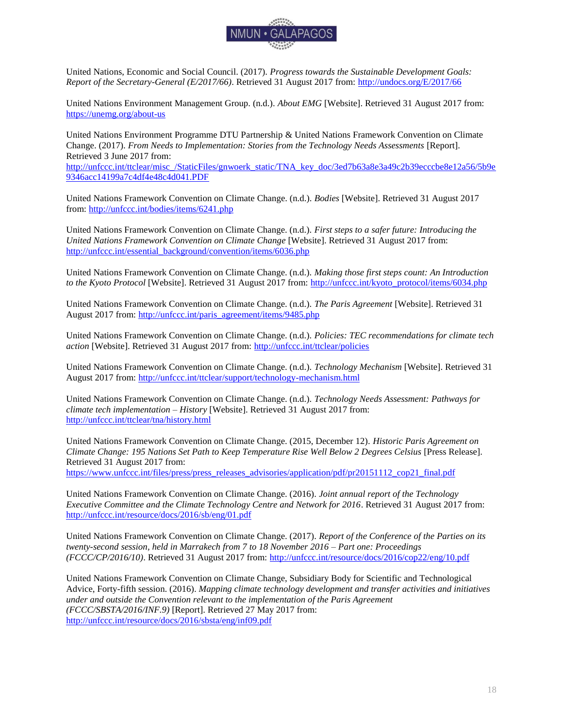

United Nations, Economic and Social Council. (2017). *Progress towards the Sustainable Development Goals: Report of the Secretary-General (E/2017/66)*. Retrieved 31 August 2017 from:<http://undocs.org/E/2017/66>

United Nations Environment Management Group. (n.d.). *About EMG* [Website]. Retrieved 31 August 2017 from: <https://unemg.org/about-us>

United Nations Environment Programme DTU Partnership & United Nations Framework Convention on Climate Change. (2017). *From Needs to Implementation: Stories from the Technology Needs Assessments* [Report]. Retrieved 3 June 2017 from:

[http://unfccc.int/ttclear/misc\\_/StaticFiles/gnwoerk\\_static/TNA\\_key\\_doc/3ed7b63a8e3a49c2b39ecccbe8e12a56/5b9e](http://unfccc.int/ttclear/misc_/StaticFiles/gnwoerk_static/TNA_key_doc/3ed7b63a8e3a49c2b39ecccbe8e12a56/5b9e9346acc14199a7c4df4e48c4d041.PDF) [9346acc14199a7c4df4e48c4d041.PDF](http://unfccc.int/ttclear/misc_/StaticFiles/gnwoerk_static/TNA_key_doc/3ed7b63a8e3a49c2b39ecccbe8e12a56/5b9e9346acc14199a7c4df4e48c4d041.PDF)

United Nations Framework Convention on Climate Change. (n.d.). *Bodies* [Website]. Retrieved 31 August 2017 from[: http://unfccc.int/bodies/items/6241.php](http://unfccc.int/bodies/items/6241.php)

United Nations Framework Convention on Climate Change. (n.d.). *First steps to a safer future: Introducing the United Nations Framework Convention on Climate Change* [Website]. Retrieved 31 August 2017 from: [http://unfccc.int/essential\\_background/convention/items/6036.php](http://unfccc.int/essential_background/convention/items/6036.php)

United Nations Framework Convention on Climate Change. (n.d.). *Making those first steps count: An Introduction to the Kyoto Protocol* [Website]. Retrieved 31 August 2017 from: [http://unfccc.int/kyoto\\_protocol/items/6034.php](http://unfccc.int/kyoto_protocol/items/6034.php)

United Nations Framework Convention on Climate Change. (n.d.). *The Paris Agreement* [Website]. Retrieved 31 August 2017 from: [http://unfccc.int/paris\\_agreement/items/9485.php](http://unfccc.int/paris_agreement/items/9485.php)

United Nations Framework Convention on Climate Change. (n.d.). *Policies: TEC recommendations for climate tech action* [Website]. Retrieved 31 August 2017 from:<http://unfccc.int/ttclear/policies>

United Nations Framework Convention on Climate Change. (n.d.). *Technology Mechanism* [Website]. Retrieved 31 August 2017 from:<http://unfccc.int/ttclear/support/technology-mechanism.html>

United Nations Framework Convention on Climate Change. (n.d.). *Technology Needs Assessment: Pathways for climate tech implementation – History* [Website]. Retrieved 31 August 2017 from: <http://unfccc.int/ttclear/tna/history.html>

United Nations Framework Convention on Climate Change. (2015, December 12). *Historic Paris Agreement on Climate Change: 195 Nations Set Path to Keep Temperature Rise Well Below 2 Degrees Celsius* [Press Release]. Retrieved 31 August 2017 from: [https://www.unfccc.int/files/press/press\\_releases\\_advisories/application/pdf/pr20151112\\_cop21\\_final.pdf](https://www.unfccc.int/files/press/press_releases_advisories/application/pdf/pr20151112_cop21_final.pdf)

United Nations Framework Convention on Climate Change. (2016). *Joint annual report of the Technology Executive Committee and the Climate Technology Centre and Network for 2016*. Retrieved 31 August 2017 from: <http://unfccc.int/resource/docs/2016/sb/eng/01.pdf>

United Nations Framework Convention on Climate Change. (2017). *Report of the Conference of the Parties on its twenty-second session, held in Marrakech from 7 to 18 November 2016 – Part one: Proceedings (FCCC/CP/2016/10)*. Retrieved 31 August 2017 from:<http://unfccc.int/resource/docs/2016/cop22/eng/10.pdf>

United Nations Framework Convention on Climate Change, Subsidiary Body for Scientific and Technological Advice, Forty-fifth session. (2016). *Mapping climate technology development and transfer activities and initiatives under and outside the Convention relevant to the implementation of the Paris Agreement (FCCC/SBSTA/2016/INF.9)* [Report]. Retrieved 27 May 2017 from: <http://unfccc.int/resource/docs/2016/sbsta/eng/inf09.pdf>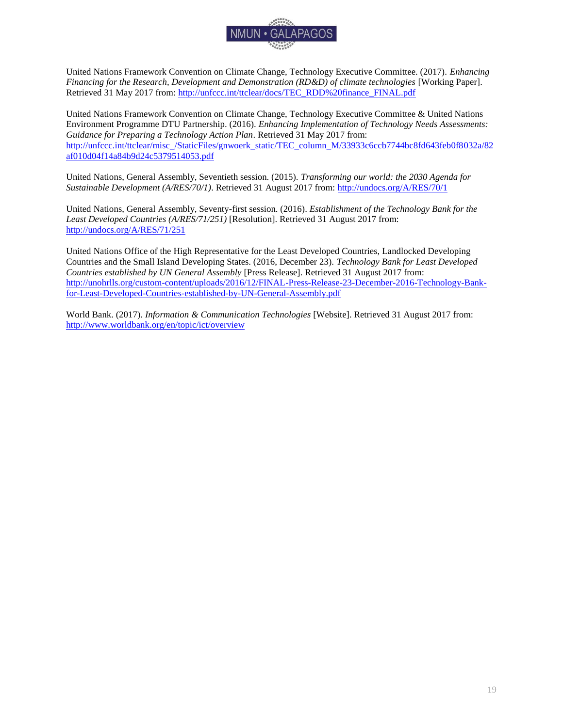

United Nations Framework Convention on Climate Change, Technology Executive Committee. (2017). *Enhancing Financing for the Research, Development and Demonstration (RD&D) of climate technologies* [Working Paper]. Retrieved 31 May 2017 from: [http://unfccc.int/ttclear/docs/TEC\\_RDD%20finance\\_FINAL.pdf](http://unfccc.int/ttclear/docs/TEC_RDD%20finance_FINAL.pdf)

United Nations Framework Convention on Climate Change, Technology Executive Committee & United Nations Environment Programme DTU Partnership. (2016). *Enhancing Implementation of Technology Needs Assessments: Guidance for Preparing a Technology Action Plan*. Retrieved 31 May 2017 from: [http://unfccc.int/ttclear/misc\\_/StaticFiles/gnwoerk\\_static/TEC\\_column\\_M/33933c6ccb7744bc8fd643feb0f8032a/82](http://unfccc.int/ttclear/misc_/StaticFiles/gnwoerk_static/TEC_column_M/33933c6ccb7744bc8fd643feb0f8032a/82af010d04f14a84b9d24c5379514053.pdf) [af010d04f14a84b9d24c5379514053.pdf](http://unfccc.int/ttclear/misc_/StaticFiles/gnwoerk_static/TEC_column_M/33933c6ccb7744bc8fd643feb0f8032a/82af010d04f14a84b9d24c5379514053.pdf)

United Nations, General Assembly, Seventieth session. (2015). *Transforming our world: the 2030 Agenda for Sustainable Development (A/RES/70/1)*. Retrieved 31 August 2017 from:<http://undocs.org/A/RES/70/1>

United Nations, General Assembly, Seventy-first session. (2016). *Establishment of the Technology Bank for the Least Developed Countries (A/RES/71/251)* [Resolution]. Retrieved 31 August 2017 from: <http://undocs.org/A/RES/71/251>

United Nations Office of the High Representative for the Least Developed Countries, Landlocked Developing Countries and the Small Island Developing States. (2016, December 23). *Technology Bank for Least Developed Countries established by UN General Assembly* [Press Release]. Retrieved 31 August 2017 from: [http://unohrlls.org/custom-content/uploads/2016/12/FINAL-Press-Release-23-December-2016-Technology-Bank](http://unohrlls.org/custom-content/uploads/2016/12/FINAL-Press-Release-23-December-2016-Technology-Bank-for-Least-Developed-Countries-established-by-UN-General-Assembly.pdf)[for-Least-Developed-Countries-established-by-UN-General-Assembly.pdf](http://unohrlls.org/custom-content/uploads/2016/12/FINAL-Press-Release-23-December-2016-Technology-Bank-for-Least-Developed-Countries-established-by-UN-General-Assembly.pdf)

World Bank. (2017). *Information & Communication Technologies* [Website]. Retrieved 31 August 2017 from: <http://www.worldbank.org/en/topic/ict/overview>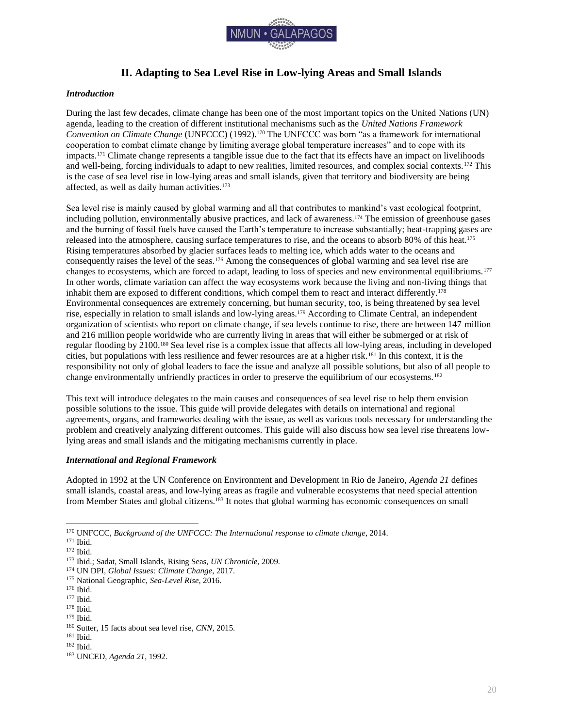

## **II. Adapting to Sea Level Rise in Low-lying Areas and Small Islands**

#### <span id="page-20-1"></span><span id="page-20-0"></span>*Introduction*

During the last few decades, climate change has been one of the most important topics on the United Nations (UN) agenda, leading to the creation of different institutional mechanisms such as the *United Nations Framework Convention on Climate Change* (UNFCCC) (1992).<sup>170</sup> The UNFCCC was born "as a framework for international cooperation to combat climate change by limiting average global temperature increases" and to cope with its impacts.<sup>171</sup> Climate change represents a tangible issue due to the fact that its effects have an impact on livelihoods and well-being, forcing individuals to adapt to new realities, limited resources, and complex social contexts.<sup>172</sup> This is the case of sea level rise in low-lying areas and small islands, given that territory and biodiversity are being affected, as well as daily human activities.<sup>173</sup>

Sea level rise is mainly caused by global warming and all that contributes to mankind's vast ecological footprint, including pollution, environmentally abusive practices, and lack of awareness.<sup>174</sup> The emission of greenhouse gases and the burning of fossil fuels have caused the Earth's temperature to increase substantially; heat-trapping gases are released into the atmosphere, causing surface temperatures to rise, and the oceans to absorb 80% of this heat.<sup>175</sup> Rising temperatures absorbed by glacier surfaces leads to melting ice, which adds water to the oceans and consequently raises the level of the seas.<sup>176</sup> Among the consequences of global warming and sea level rise are changes to ecosystems, which are forced to adapt, leading to loss of species and new environmental equilibriums.<sup>177</sup> In other words, climate variation can affect the way ecosystems work because the living and non-living things that inhabit them are exposed to different conditions, which compel them to react and interact differently.<sup>178</sup> Environmental consequences are extremely concerning, but human security, too, is being threatened by sea level rise, especially in relation to small islands and low-lying areas.<sup>179</sup> According to Climate Central, an independent organization of scientists who report on climate change, if sea levels continue to rise, there are between 147 million and 216 million people worldwide who are currently living in areas that will either be submerged or at risk of regular flooding by 2100.<sup>180</sup> Sea level rise is a complex issue that affects all low-lying areas, including in developed cities, but populations with less resilience and fewer resources are at a higher risk.<sup>181</sup> In this context, it is the responsibility not only of global leaders to face the issue and analyze all possible solutions, but also of all people to change environmentally unfriendly practices in order to preserve the equilibrium of our ecosystems.<sup>182</sup>

This text will introduce delegates to the main causes and consequences of sea level rise to help them envision possible solutions to the issue. This guide will provide delegates with details on international and regional agreements, organs, and frameworks dealing with the issue, as well as various tools necessary for understanding the problem and creatively analyzing different outcomes. This guide will also discuss how sea level rise threatens lowlying areas and small islands and the mitigating mechanisms currently in place.

#### <span id="page-20-2"></span>*International and Regional Framework*

Adopted in 1992 at the UN Conference on Environment and Development in Rio de Janeiro, *Agenda 21* defines small islands, coastal areas, and low-lying areas as fragile and vulnerable ecosystems that need special attention from Member States and global citizens.<sup>183</sup> It notes that global warming has economic consequences on small

 $\overline{a}$ 

<sup>178</sup> Ibid.

<sup>170</sup> UNFCCC, *Background of the UNFCCC: The International response to climate change*, 2014.

<sup>171</sup> Ibid.

<sup>172</sup> Ibid.

<sup>173</sup> Ibid.; Sadat, Small Islands, Rising Seas, *UN Chronicle*, 2009.

<sup>174</sup> UN DPI, *Global Issues: Climate Change*, 2017.

<sup>175</sup> National Geographic, *Sea-Level Rise*, 2016.

<sup>176</sup> Ibid.

<sup>177</sup> Ibid.

<sup>179</sup> Ibid.

<sup>180</sup> Sutter, 15 facts about sea level rise, *CNN*, 2015.

<sup>181</sup> Ibid.

<sup>182</sup> Ibid.

<sup>183</sup> UNCED, *Agenda 21*, 1992.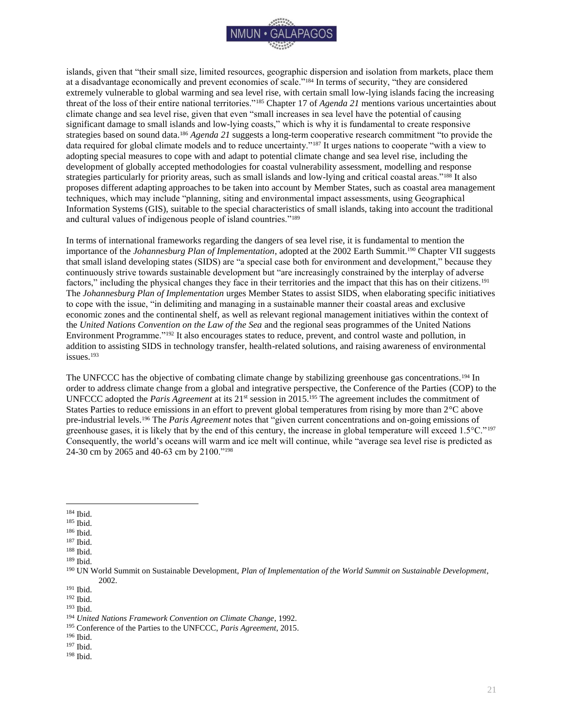

islands, given that "their small size, limited resources, geographic dispersion and isolation from markets, place them at a disadvantage economically and prevent economies of scale."<sup>184</sup> In terms of security, "they are considered extremely vulnerable to global warming and sea level rise, with certain small low-lying islands facing the increasing threat of the loss of their entire national territories."<sup>185</sup> Chapter 17 of *Agenda 21* mentions various uncertainties about climate change and sea level rise, given that even "small increases in sea level have the potential of causing significant damage to small islands and low-lying coasts," which is why it is fundamental to create responsive strategies based on sound data.<sup>186</sup> *Agenda 21* suggests a long-term cooperative research commitment "to provide the data required for global climate models and to reduce uncertainty."<sup>187</sup> It urges nations to cooperate "with a view to adopting special measures to cope with and adapt to potential climate change and sea level rise, including the development of globally accepted methodologies for coastal vulnerability assessment, modelling and response strategies particularly for priority areas, such as small islands and low-lying and critical coastal areas."<sup>188</sup> It also proposes different adapting approaches to be taken into account by Member States, such as coastal area management techniques, which may include "planning, siting and environmental impact assessments, using Geographical Information Systems (GIS), suitable to the special characteristics of small islands, taking into account the traditional and cultural values of indigenous people of island countries."<sup>189</sup>

In terms of international frameworks regarding the dangers of sea level rise, it is fundamental to mention the importance of the *Johannesburg Plan of Implementation*, adopted at the 2002 Earth Summit.<sup>190</sup> Chapter VII suggests that small island developing states (SIDS) are "a special case both for environment and development," because they continuously strive towards sustainable development but "are increasingly constrained by the interplay of adverse factors," including the physical changes they face in their territories and the impact that this has on their citizens.<sup>191</sup> The *Johannesburg Plan of Implementation* urges Member States to assist SIDS, when elaborating specific initiatives to cope with the issue, "in delimiting and managing in a sustainable manner their coastal areas and exclusive economic zones and the continental shelf, as well as relevant regional management initiatives within the context of the *United Nations Convention on the Law of the Sea* and the regional seas programmes of the United Nations Environment Programme."<sup>192</sup> It also encourages states to reduce, prevent, and control waste and pollution, in addition to assisting SIDS in technology transfer, health-related solutions, and raising awareness of environmental issues.<sup>193</sup>

The UNFCCC has the objective of combating climate change by stabilizing greenhouse gas concentrations.<sup>194</sup> In order to address climate change from a global and integrative perspective, the Conference of the Parties (COP) to the UNFCCC adopted the *Paris Agreement* at its 21st session in 2015.<sup>195</sup> The agreement includes the commitment of States Parties to reduce emissions in an effort to prevent global temperatures from rising by more than 2°C above pre-industrial levels.<sup>196</sup> The *Paris Agreement* notes that "given current concentrations and on-going emissions of greenhouse gases, it is likely that by the end of this century, the increase in global temperature will exceed 1.5°C."<sup>197</sup> Consequently, the world's oceans will warm and ice melt will continue, while "average sea level rise is predicted as 24-30 cm by 2065 and 40-63 cm by 2100."<sup>198</sup>

- <sup>186</sup> Ibid.
- $^{\rm 187}$  Ibid.
- $^{\rm 188}$  Ibid.

- <sup>191</sup> Ibid.
- <sup>192</sup> Ibid.

<sup>198</sup> Ibid.

 $\overline{a}$ <sup>184</sup> Ibid.

<sup>185</sup> Ibid.

<sup>189</sup> Ibid.

<sup>190</sup> UN World Summit on Sustainable Development, *Plan of Implementation of the World Summit on Sustainable Development*, 2002.

<sup>193</sup> Ibid.

<sup>194</sup> *United Nations Framework Convention on Climate Change*, 1992.

<sup>195</sup> Conference of the Parties to the UNFCCC, *Paris Agreement*, 2015.

<sup>196</sup> Ibid.

<sup>197</sup> Ibid.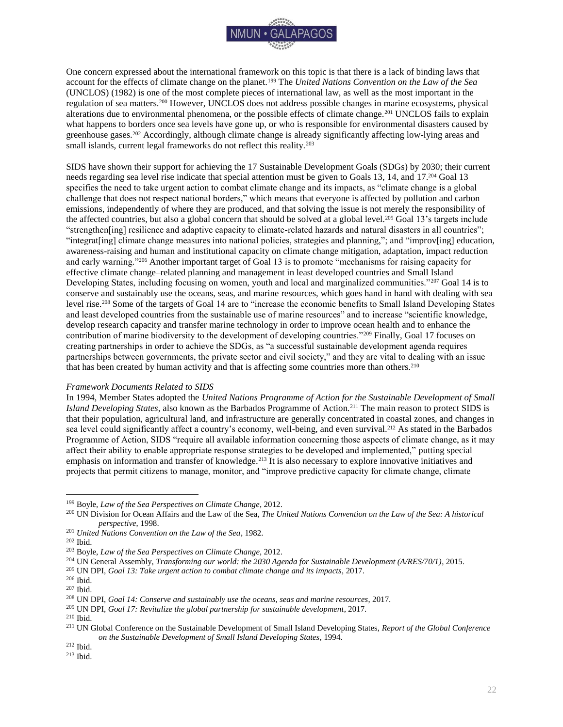

One concern expressed about the international framework on this topic is that there is a lack of binding laws that account for the effects of climate change on the planet.<sup>199</sup> The *United Nations Convention on the Law of the Sea*  (UNCLOS) (1982) is one of the most complete pieces of international law, as well as the most important in the regulation of sea matters.<sup>200</sup> However, UNCLOS does not address possible changes in marine ecosystems, physical alterations due to environmental phenomena, or the possible effects of climate change.<sup>201</sup> UNCLOS fails to explain what happens to borders once sea levels have gone up, or who is responsible for environmental disasters caused by greenhouse gases.<sup>202</sup> Accordingly, although climate change is already significantly affecting low-lying areas and small islands, current legal frameworks do not reflect this reality.<sup>203</sup>

SIDS have shown their support for achieving the 17 Sustainable Development Goals (SDGs) by 2030; their current needs regarding sea level rise indicate that special attention must be given to Goals 13, 14, and 17.<sup>204</sup> Goal 13 specifies the need to take urgent action to combat climate change and its impacts, as "climate change is a global challenge that does not respect national borders," which means that everyone is affected by pollution and carbon emissions, independently of where they are produced, and that solving the issue is not merely the responsibility of the affected countries, but also a global concern that should be solved at a global level.<sup>205</sup> Goal 13's targets include "strengthen[ing] resilience and adaptive capacity to climate-related hazards and natural disasters in all countries"; "integrat[ing] climate change measures into national policies, strategies and planning,"; and "improv[ing] education, awareness-raising and human and institutional capacity on climate change mitigation, adaptation, impact reduction and early warning."<sup>206</sup> Another important target of Goal 13 is to promote "mechanisms for raising capacity for effective climate change–related planning and management in least developed countries and Small Island Developing States, including focusing on women, youth and local and marginalized communities."<sup>207</sup> Goal 14 is to conserve and sustainably use the oceans, seas, and marine resources, which goes hand in hand with dealing with sea level rise.<sup>208</sup> Some of the targets of Goal 14 are to "increase the economic benefits to Small Island Developing States and least developed countries from the sustainable use of marine resources" and to increase "scientific knowledge, develop research capacity and transfer marine technology in order to improve ocean health and to enhance the contribution of marine biodiversity to the development of developing countries."<sup>209</sup> Finally, Goal 17 focuses on creating partnerships in order to achieve the SDGs, as "a successful sustainable development agenda requires partnerships between governments, the private sector and civil society," and they are vital to dealing with an issue that has been created by human activity and that is affecting some countries more than others.<sup>210</sup>

#### *Framework Documents Related to SIDS*

In 1994, Member States adopted the *United Nations Programme of Action for the Sustainable Development of Small Island Developing States*, also known as the Barbados Programme of Action*.* <sup>211</sup> The main reason to protect SIDS is that their population, agricultural land, and infrastructure are generally concentrated in coastal zones, and changes in sea level could significantly affect a country's economy, well-being, and even survival.<sup>212</sup> As stated in the Barbados Programme of Action, SIDS "require all available information concerning those aspects of climate change, as it may affect their ability to enable appropriate response strategies to be developed and implemented," putting special emphasis on information and transfer of knowledge.<sup>213</sup> It is also necessary to explore innovative initiatives and projects that permit citizens to manage, monitor, and "improve predictive capacity for climate change, climate

 $\overline{a}$ 

<sup>205</sup> UN DPI, *Goal 13: Take urgent action to combat climate change and its impacts*, 2017.

<sup>199</sup> Boyle, *Law of the Sea Perspectives on Climate Change*, 2012.

<sup>200</sup> UN Division for Ocean Affairs and the Law of the Sea, *The United Nations Convention on the Law of the Sea: A historical perspective*, 1998.

<sup>201</sup> *United Nations Convention on the Law of the Sea*, 1982.

<sup>202</sup> Ibid.

<sup>203</sup> Boyle, *Law of the Sea Perspectives on Climate Change*, 2012.

<sup>204</sup> UN General Assembly, *Transforming our world: the 2030 Agenda for Sustainable Development (A/RES/70/1)*, 2015.

<sup>206</sup> Ibid.

<sup>207</sup> Ibid.

<sup>208</sup> UN DPI, *Goal 14: Conserve and sustainably use the oceans, seas and marine resources*, 2017.

<sup>209</sup> UN DPI, *Goal 17: Revitalize the global partnership for sustainable development*, 2017.

<sup>210</sup> Ibid.

<sup>211</sup> UN Global Conference on the Sustainable Development of Small Island Developing States, *Report of the Global Conference on the Sustainable Development of Small Island Developing States*, 1994.

<sup>212</sup> Ibid.

<sup>213</sup> Ibid.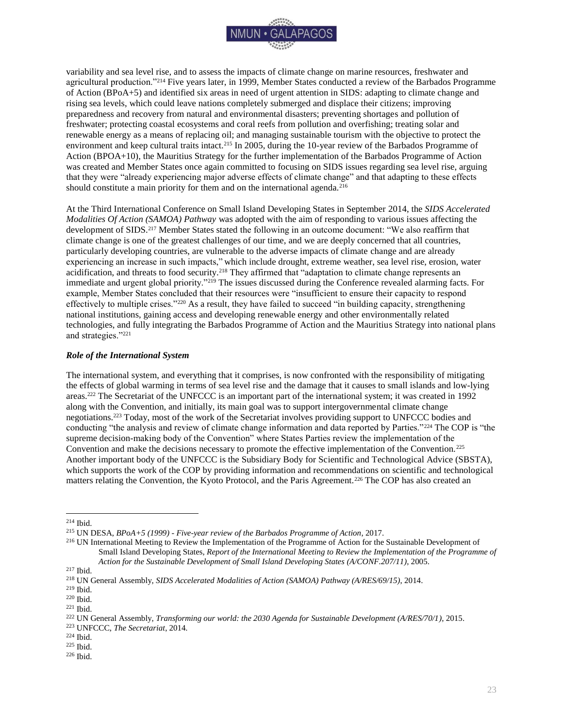

variability and sea level rise, and to assess the impacts of climate change on marine resources, freshwater and agricultural production."<sup>214</sup> Five years later, in 1999, Member States conducted a review of the Barbados Programme of Action (BPoA+5) and identified six areas in need of urgent attention in SIDS: adapting to climate change and rising sea levels, which could leave nations completely submerged and displace their citizens; improving preparedness and recovery from natural and environmental disasters; preventing shortages and pollution of freshwater; protecting coastal ecosystems and coral reefs from pollution and overfishing; treating solar and renewable energy as a means of replacing oil; and managing sustainable tourism with the objective to protect the environment and keep cultural traits intact.<sup>215</sup> In 2005, during the 10-year review of the Barbados Programme of Action (BPOA+10), the Mauritius Strategy for the further implementation of the Barbados Programme of Action was created and Member States once again committed to focusing on SIDS issues regarding sea level rise, arguing that they were "already experiencing major adverse effects of climate change" and that adapting to these effects should constitute a main priority for them and on the international agenda.<sup>216</sup>

At the Third International Conference on Small Island Developing States in September 2014, the *SIDS Accelerated Modalities Of Action (SAMOA) Pathway* was adopted with the aim of responding to various issues affecting the development of SIDS.<sup>217</sup> Member States stated the following in an outcome document: "We also reaffirm that climate change is one of the greatest challenges of our time, and we are deeply concerned that all countries, particularly developing countries, are vulnerable to the adverse impacts of climate change and are already experiencing an increase in such impacts," which include drought, extreme weather, sea level rise, erosion, water acidification, and threats to food security.<sup>218</sup> They affirmed that "adaptation to climate change represents an immediate and urgent global priority."<sup>219</sup> The issues discussed during the Conference revealed alarming facts. For example, Member States concluded that their resources were "insufficient to ensure their capacity to respond effectively to multiple crises."<sup>220</sup> As a result, they have failed to succeed "in building capacity, strengthening national institutions, gaining access and developing renewable energy and other environmentally related technologies, and fully integrating the Barbados Programme of Action and the Mauritius Strategy into national plans and strategies."<sup>221</sup>

#### <span id="page-23-0"></span>*Role of the International System*

The international system, and everything that it comprises, is now confronted with the responsibility of mitigating the effects of global warming in terms of sea level rise and the damage that it causes to small islands and low-lying areas.<sup>222</sup> The Secretariat of the UNFCCC is an important part of the international system; it was created in 1992 along with the Convention, and initially, its main goal was to support intergovernmental climate change negotiations.<sup>223</sup> Today, most of the work of the Secretariat involves providing support to UNFCCC bodies and conducting "the analysis and review of climate change information and data reported by Parties."<sup>224</sup> The COP is "the supreme decision-making body of the Convention" where States Parties review the implementation of the Convention and make the decisions necessary to promote the effective implementation of the Convention.<sup>225</sup> Another important body of the UNFCCC is the Subsidiary Body for Scientific and Technological Advice (SBSTA), which supports the work of the COP by providing information and recommendations on scientific and technological matters relating the Convention, the Kyoto Protocol, and the Paris Agreement.<sup>226</sup> The COP has also created an

<sup>214</sup> Ibid.

<sup>215</sup> UN DESA, *BPoA+5 (1999) - Five-year review of the Barbados Programme of Action*, 2017.

<sup>&</sup>lt;sup>216</sup> UN International Meeting to Review the Implementation of the Programme of Action for the Sustainable Development of Small Island Developing States, *Report of the International Meeting to Review the Implementation of the Programme of Action for the Sustainable Development of Small Island Developing States (A/CONF.207/11)*, 2005.

<sup>217</sup> Ibid.

<sup>218</sup> UN General Assembly, *SIDS Accelerated Modalities of Action (SAMOA) Pathway (A/RES/69/15)*, 2014.

<sup>219</sup> Ibid.

<sup>220</sup> Ibid.

 $221$  Ibid.

<sup>222</sup> UN General Assembly, *Transforming our world: the 2030 Agenda for Sustainable Development (A/RES/70/1)*, 2015.

<sup>223</sup> UNFCCC, *The Secretariat*, 2014.

<sup>224</sup> Ibid.

<sup>225</sup> Ibid.

<sup>226</sup> Ibid.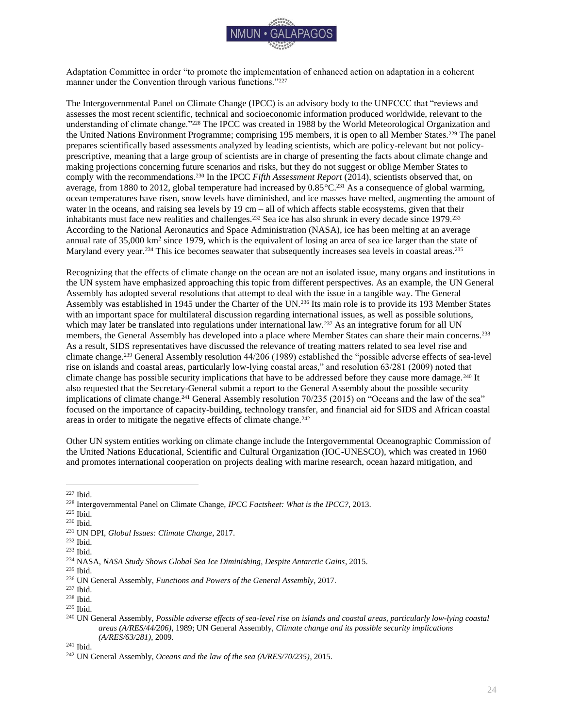

Adaptation Committee in order "to promote the implementation of enhanced action on adaptation in a coherent manner under the Convention through various functions."<sup>227</sup>

The Intergovernmental Panel on Climate Change (IPCC) is an advisory body to the UNFCCC that "reviews and assesses the most recent scientific, technical and socioeconomic information produced worldwide, relevant to the understanding of climate change."<sup>228</sup> The IPCC was created in 1988 by the World Meteorological Organization and the United Nations Environment Programme; comprising 195 members, it is open to all Member States.<sup>229</sup> The panel prepares scientifically based assessments analyzed by leading scientists, which are policy-relevant but not policyprescriptive, meaning that a large group of scientists are in charge of presenting the facts about climate change and making projections concerning future scenarios and risks, but they do not suggest or oblige Member States to comply with the recommendations.<sup>230</sup> In the IPCC *Fifth Assessment Report* (2014), scientists observed that, on average, from 1880 to 2012, global temperature had increased by  $0.85^{\circ}C^{231}$  As a consequence of global warming, ocean temperatures have risen, snow levels have diminished, and ice masses have melted, augmenting the amount of water in the oceans, and raising sea levels by 19 cm – all of which affects stable ecosystems, given that their inhabitants must face new realities and challenges.<sup>232</sup> Sea ice has also shrunk in every decade since 1979.<sup>233</sup> According to the National Aeronautics and Space Administration (NASA), ice has been melting at an average annual rate of  $35{,}000 \text{ km}^2$  since 1979, which is the equivalent of losing an area of sea ice larger than the state of Maryland every year.<sup>234</sup> This ice becomes seawater that subsequently increases sea levels in coastal areas.<sup>235</sup>

Recognizing that the effects of climate change on the ocean are not an isolated issue, many organs and institutions in the UN system have emphasized approaching this topic from different perspectives. As an example, the UN General Assembly has adopted several resolutions that attempt to deal with the issue in a tangible way. The General Assembly was established in 1945 under the Charter of the UN.<sup>236</sup> Its main role is to provide its 193 Member States with an important space for multilateral discussion regarding international issues, as well as possible solutions, which may later be translated into regulations under international law.<sup>237</sup> As an integrative forum for all UN members, the General Assembly has developed into a place where Member States can share their main concerns.<sup>238</sup> As a result, SIDS representatives have discussed the relevance of treating matters related to sea level rise and climate change.<sup>239</sup> General Assembly resolution 44/206 (1989) established the "possible adverse effects of sea-level rise on islands and coastal areas, particularly low-lying coastal areas," and resolution 63/281 (2009) noted that climate change has possible security implications that have to be addressed before they cause more damage.<sup>240</sup> It also requested that the Secretary-General submit a report to the General Assembly about the possible security implications of climate change.<sup>241</sup> General Assembly resolution 70/235 (2015) on "Oceans and the law of the sea" focused on the importance of capacity-building, technology transfer, and financial aid for SIDS and African coastal areas in order to mitigate the negative effects of climate change.<sup>242</sup>

Other UN system entities working on climate change include the Intergovernmental Oceanographic Commission of the United Nations Educational, Scientific and Cultural Organization (IOC-UNESCO), which was created in 1960 and promotes international cooperation on projects dealing with marine research, ocean hazard mitigation, and

<sup>241</sup> Ibid.

 $\overline{a}$ <sup>227</sup> Ibid.

<sup>228</sup> Intergovernmental Panel on Climate Change, *IPCC Factsheet: What is the IPCC?*, 2013.

<sup>229</sup> Ibid.

<sup>230</sup> Ibid.

<sup>231</sup> UN DPI, *Global Issues: Climate Change*, 2017.

<sup>232</sup> Ibid.

<sup>233</sup> Ibid.

<sup>234</sup> NASA, *NASA Study Shows Global Sea Ice Diminishing, Despite Antarctic Gains*, 2015.

<sup>235</sup> Ibid.

<sup>236</sup> UN General Assembly, *Functions and Powers of the General Assembly*, 2017.

<sup>237</sup> Ibid.

<sup>238</sup> Ibid.

<sup>239</sup> Ibid.

<sup>240</sup> UN General Assembly, *Possible adverse effects of sea-level rise on islands and coastal areas, particularly low-lying coastal areas (A/RES/44/206)*, 1989; UN General Assembly, *Climate change and its possible security implications (A/RES/63/281)*, 2009.

<sup>242</sup> UN General Assembly, *Oceans and the law of the sea (A/RES/70/235)*, 2015.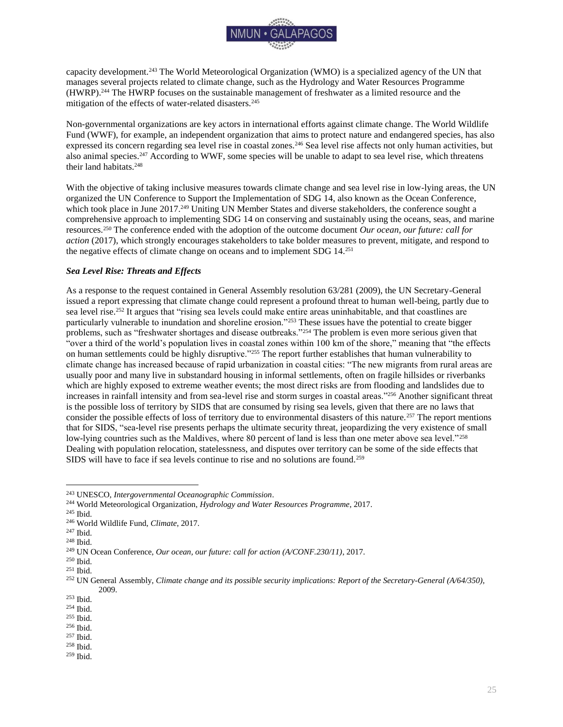

capacity development.<sup>243</sup> The World Meteorological Organization (WMO) is a specialized agency of the UN that manages several projects related to climate change, such as the Hydrology and Water Resources Programme (HWRP).<sup>244</sup> The HWRP focuses on the sustainable management of freshwater as a limited resource and the mitigation of the effects of water-related disasters.<sup>245</sup>

Non-governmental organizations are key actors in international efforts against climate change. The World Wildlife Fund (WWF), for example, an independent organization that aims to protect nature and endangered species, has also expressed its concern regarding sea level rise in coastal zones.<sup>246</sup> Sea level rise affects not only human activities, but also animal species.<sup>247</sup> According to WWF, some species will be unable to adapt to sea level rise, which threatens their land habitats.<sup>248</sup>

With the objective of taking inclusive measures towards climate change and sea level rise in low-lying areas, the UN organized the UN Conference to Support the Implementation of SDG 14, also known as the Ocean Conference, which took place in June 2017.<sup>249</sup> Uniting UN Member States and diverse stakeholders, the conference sought a comprehensive approach to implementing SDG 14 on conserving and sustainably using the oceans, seas, and marine resources.<sup>250</sup> The conference ended with the adoption of the outcome document *Our ocean, our future: call for action* (2017), which strongly encourages stakeholders to take bolder measures to prevent, mitigate, and respond to the negative effects of climate change on oceans and to implement SDG 14.<sup>251</sup>

#### <span id="page-25-0"></span>*Sea Level Rise: Threats and Effects*

As a response to the request contained in General Assembly resolution 63/281 (2009), the UN Secretary-General issued a report expressing that climate change could represent a profound threat to human well-being, partly due to sea level rise.<sup>252</sup> It argues that "rising sea levels could make entire areas uninhabitable, and that coastlines are particularly vulnerable to inundation and shoreline erosion."<sup>253</sup> These issues have the potential to create bigger problems, such as "freshwater shortages and disease outbreaks."<sup>254</sup> The problem is even more serious given that "over a third of the world's population lives in coastal zones within 100 km of the shore," meaning that "the effects on human settlements could be highly disruptive."<sup>255</sup> The report further establishes that human vulnerability to climate change has increased because of rapid urbanization in coastal cities: "The new migrants from rural areas are usually poor and many live in substandard housing in informal settlements, often on fragile hillsides or riverbanks which are highly exposed to extreme weather events; the most direct risks are from flooding and landslides due to increases in rainfall intensity and from sea-level rise and storm surges in coastal areas."<sup>256</sup> Another significant threat is the possible loss of territory by SIDS that are consumed by rising sea levels, given that there are no laws that consider the possible effects of loss of territory due to environmental disasters of this nature.<sup>257</sup> The report mentions that for SIDS, "sea-level rise presents perhaps the ultimate security threat, jeopardizing the very existence of small low-lying countries such as the Maldives, where 80 percent of land is less than one meter above sea level."<sup>258</sup> Dealing with population relocation, statelessness, and disputes over territory can be some of the side effects that SIDS will have to face if sea levels continue to rise and no solutions are found.<sup>259</sup>

<sup>243</sup> UNESCO, *Intergovernmental Oceanographic Commission*.

<sup>244</sup> World Meteorological Organization, *Hydrology and Water Resources Programme*, 2017.

<sup>245</sup> Ibid.

<sup>246</sup> World Wildlife Fund, *Climate*, 2017.

<sup>247</sup> Ibid.

<sup>248</sup> Ibid.

<sup>249</sup> UN Ocean Conference, *Our ocean, our future: call for action (A/CONF.230/11)*, 2017.

<sup>250</sup> Ibid.

<sup>251</sup> Ibid.

<sup>252</sup> UN General Assembly, *Climate change and its possible security implications: Report of the Secretary-General (A/64/350)*, 2009.

<sup>253</sup> Ibid.

<sup>254</sup> Ibid.

<sup>255</sup> Ibid.

<sup>256</sup> Ibid.

<sup>257</sup> Ibid.

<sup>258</sup> Ibid.

<sup>259</sup> Ibid.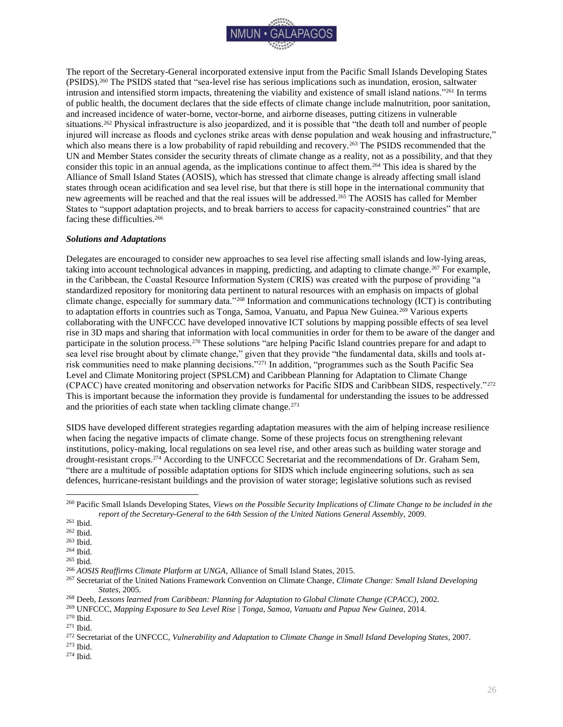

The report of the Secretary-General incorporated extensive input from the Pacific Small Islands Developing States (PSIDS).<sup>260</sup> The PSIDS stated that "sea-level rise has serious implications such as inundation, erosion, saltwater intrusion and intensified storm impacts, threatening the viability and existence of small island nations."<sup>261</sup> In terms of public health, the document declares that the side effects of climate change include malnutrition, poor sanitation, and increased incidence of water-borne, vector-borne, and airborne diseases, putting citizens in vulnerable situations.<sup>262</sup> Physical infrastructure is also jeopardized, and it is possible that "the death toll and number of people injured will increase as floods and cyclones strike areas with dense population and weak housing and infrastructure," which also means there is a low probability of rapid rebuilding and recovery.<sup>263</sup> The PSIDS recommended that the UN and Member States consider the security threats of climate change as a reality, not as a possibility, and that they consider this topic in an annual agenda, as the implications continue to affect them.<sup>264</sup> This idea is shared by the Alliance of Small Island States (AOSIS), which has stressed that climate change is already affecting small island states through ocean acidification and sea level rise, but that there is still hope in the international community that new agreements will be reached and that the real issues will be addressed.<sup>265</sup> The AOSIS has called for Member States to "support adaptation projects, and to break barriers to access for capacity-constrained countries" that are facing these difficulties.<sup>266</sup>

#### <span id="page-26-0"></span>*Solutions and Adaptations*

Delegates are encouraged to consider new approaches to sea level rise affecting small islands and low-lying areas, taking into account technological advances in mapping, predicting, and adapting to climate change.<sup>267</sup> For example, in the Caribbean, the Coastal Resource Information System (CRIS) was created with the purpose of providing "a standardized repository for monitoring data pertinent to natural resources with an emphasis on impacts of global climate change, especially for summary data."<sup>268</sup> Information and communications technology (ICT) is contributing to adaptation efforts in countries such as Tonga, Samoa, Vanuatu, and Papua New Guinea.<sup>269</sup> Various experts collaborating with the UNFCCC have developed innovative ICT solutions by mapping possible effects of sea level rise in 3D maps and sharing that information with local communities in order for them to be aware of the danger and participate in the solution process.<sup>270</sup> These solutions "are helping Pacific Island countries prepare for and adapt to sea level rise brought about by climate change," given that they provide "the fundamental data, skills and tools atrisk communities need to make planning decisions."<sup>271</sup> In addition, "programmes such as the South Pacific Sea Level and Climate Monitoring project (SPSLCM) and Caribbean Planning for Adaptation to Climate Change (CPACC) have created monitoring and observation networks for Pacific SIDS and Caribbean SIDS, respectively."<sup>272</sup> This is important because the information they provide is fundamental for understanding the issues to be addressed and the priorities of each state when tackling climate change.<sup>273</sup>

SIDS have developed different strategies regarding adaptation measures with the aim of helping increase resilience when facing the negative impacts of climate change. Some of these projects focus on strengthening relevant institutions, policy-making, local regulations on sea level rise, and other areas such as building water storage and drought-resistant crops.<sup>274</sup> According to the UNFCCC Secretariat and the recommendations of Dr. Graham Sem, "there are a multitude of possible adaptation options for SIDS which include engineering solutions, such as sea defences, hurricane-resistant buildings and the provision of water storage; legislative solutions such as revised

 $\overline{a}$ 

<sup>273</sup> Ibid.

<sup>260</sup> Pacific Small Islands Developing States, *Views on the Possible Security Implications of Climate Change to be included in the report of the Secretary-General to the 64th Session of the United Nations General Assembly*, 2009.

<sup>261</sup> Ibid.

<sup>262</sup> Ibid.

<sup>263</sup> Ibid.

 $^{\rm 264}$  Ibid.

<sup>265</sup> Ibid.

<sup>266</sup> *AOSIS Reaffirms Climate Platform at UNGA*, Alliance of Small Island States, 2015.

<sup>267</sup> Secretariat of the United Nations Framework Convention on Climate Change, *Climate Change:* S*mall Island Developing States*, 2005.

<sup>268</sup> Deeb, *Lessons learned from Caribbean: Planning for Adaptation to Global Climate Change (CPACC)*, 2002.

<sup>269</sup> UNFCCC, *Mapping Exposure to Sea Level Rise | Tonga, Samoa, Vanuatu and Papua New Guinea*, 2014.

<sup>270</sup> Ibid.

<sup>271</sup> Ibid.

<sup>272</sup> Secretariat of the UNFCCC, *Vulnerability and Adaptation to Climate Change in Small Island Developing States*, 2007.

<sup>274</sup> Ibid.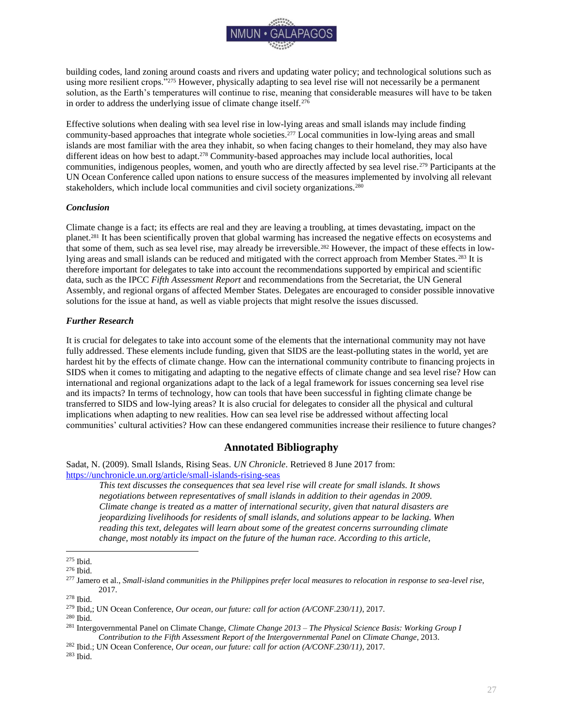

building codes, land zoning around coasts and rivers and updating water policy; and technological solutions such as using more resilient crops."<sup>275</sup> However, physically adapting to sea level rise will not necessarily be a permanent solution, as the Earth's temperatures will continue to rise, meaning that considerable measures will have to be taken in order to address the underlying issue of climate change itself.<sup>276</sup>

Effective solutions when dealing with sea level rise in low-lying areas and small islands may include finding community-based approaches that integrate whole societies.<sup>277</sup> Local communities in low-lying areas and small islands are most familiar with the area they inhabit, so when facing changes to their homeland, they may also have different ideas on how best to adapt.<sup>278</sup> Community-based approaches may include local authorities, local communities, indigenous peoples, women, and youth who are directly affected by sea level rise.<sup>279</sup> Participants at the UN Ocean Conference called upon nations to ensure success of the measures implemented by involving all relevant stakeholders, which include local communities and civil society organizations.<sup>280</sup>

#### <span id="page-27-0"></span>*Conclusion*

Climate change is a fact; its effects are real and they are leaving a troubling, at times devastating, impact on the planet.<sup>281</sup> It has been scientifically proven that global warming has increased the negative effects on ecosystems and that some of them, such as sea level rise, may already be irreversible.<sup>282</sup> However, the impact of these effects in lowlying areas and small islands can be reduced and mitigated with the correct approach from Member States.<sup>283</sup> It is therefore important for delegates to take into account the recommendations supported by empirical and scientific data, such as the IPCC *Fifth Assessment Report* and recommendations from the Secretariat, the UN General Assembly, and regional organs of affected Member States. Delegates are encouraged to consider possible innovative solutions for the issue at hand, as well as viable projects that might resolve the issues discussed.

#### <span id="page-27-1"></span>*Further Research*

It is crucial for delegates to take into account some of the elements that the international community may not have fully addressed. These elements include funding, given that SIDS are the least-polluting states in the world, yet are hardest hit by the effects of climate change. How can the international community contribute to financing projects in SIDS when it comes to mitigating and adapting to the negative effects of climate change and sea level rise? How can international and regional organizations adapt to the lack of a legal framework for issues concerning sea level rise and its impacts? In terms of technology, how can tools that have been successful in fighting climate change be transferred to SIDS and low-lying areas? It is also crucial for delegates to consider all the physical and cultural implications when adapting to new realities. How can sea level rise be addressed without affecting local communities' cultural activities? How can these endangered communities increase their resilience to future changes?

## **Annotated Bibliography**

<span id="page-27-2"></span>Sadat, N. (2009). Small Islands, Rising Seas. *UN Chronicle*. Retrieved 8 June 2017 from: <https://unchronicle.un.org/article/small-islands-rising-seas>

*This text discusses the consequences that sea level rise will create for small islands. It shows negotiations between representatives of small islands in addition to their agendas in 2009. Climate change is treated as a matter of international security, given that natural disasters are jeopardizing livelihoods for residents of small islands, and solutions appear to be lacking. When reading this text, delegates will learn about some of the greatest concerns surrounding climate* 

*change, most notably its impact on the future of the human race. According to this article,* 

 $\overline{a}$ <sup>275</sup> Ibid.

<sup>276</sup> Ibid.

<sup>277</sup> Jamero et al., *Small-island communities in the Philippines prefer local measures to relocation in response to sea-level rise*, 2017.

<sup>278</sup> Ibid.

<sup>279</sup> Ibid,; UN Ocean Conference, *Our ocean, our future: call for action (A/CONF.230/11)*, 2017.

<sup>280</sup> Ibid.

<sup>281</sup> Intergovernmental Panel on Climate Change, *Climate Change 2013 – The Physical Science Basis: Working Group I Contribution to the Fifth Assessment Report of the Intergovernmental Panel on Climate Change*, 2013.

<sup>282</sup> Ibid.; UN Ocean Conference, *Our ocean, our future: call for action (A/CONF.230/11)*, 2017.

<sup>283</sup> Ibid.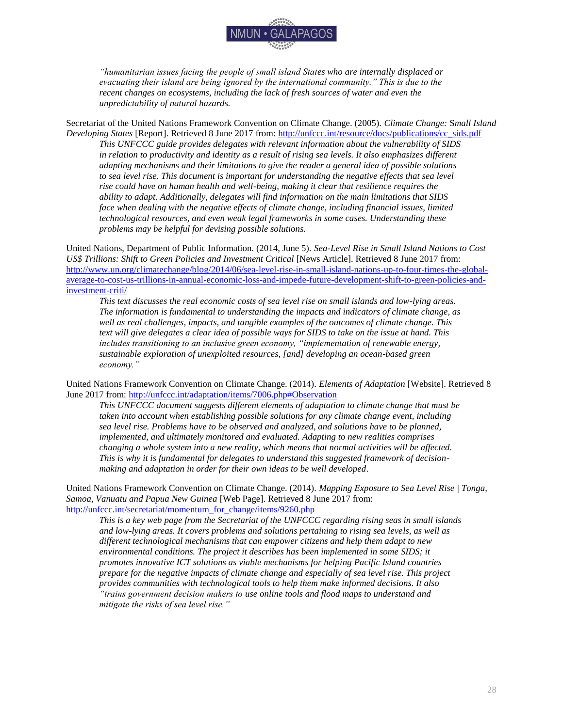

*"humanitarian issues facing the people of small island States who are internally displaced or evacuating their island are being ignored by the international community." This is due to the recent changes on ecosystems, including the lack of fresh sources of water and even the unpredictability of natural hazards.* 

Secretariat of the United Nations Framework Convention on Climate Change. (2005). *Climate Change:* S*mall Island Developing States* [Report]. Retrieved 8 June 2017 from: [http://unfccc.int/resource/docs/publications/cc\\_sids.pdf](http://unfccc.int/resource/docs/publications/cc_sids.pdf)

*This UNFCCC guide provides delegates with relevant information about the vulnerability of SIDS in relation to productivity and identity as a result of rising sea levels. It also emphasizes different adapting mechanisms and their limitations to give the reader a general idea of possible solutions to sea level rise. This document is important for understanding the negative effects that sea level rise could have on human health and well-being, making it clear that resilience requires the ability to adapt. Additionally, delegates will find information on the main limitations that SIDS face when dealing with the negative effects of climate change, including financial issues, limited technological resources, and even weak legal frameworks in some cases. Understanding these problems may be helpful for devising possible solutions.* 

United Nations, Department of Public Information. (2014, June 5). *Sea-Level Rise in Small Island Nations to Cost*  US\$ Trillions: Shift to Green Policies and Investment Critical [News Article]. Retrieved 8 June 2017 from: [http://www.un.org/climatechange/blog/2014/06/sea-level-rise-in-small-island-nations-up-to-four-times-the-global](http://www.un.org/climatechange/blog/2014/06/sea-level-rise-in-small-island-nations-up-to-four-times-the-global-average-to-cost-us-trillions-in-annual-economic-loss-and-impede-future-development-shift-to-green-policies-and-investment-criti/)[average-to-cost-us-trillions-in-annual-economic-loss-and-impede-future-development-shift-to-green-policies-and](http://www.un.org/climatechange/blog/2014/06/sea-level-rise-in-small-island-nations-up-to-four-times-the-global-average-to-cost-us-trillions-in-annual-economic-loss-and-impede-future-development-shift-to-green-policies-and-investment-criti/)[investment-criti/](http://www.un.org/climatechange/blog/2014/06/sea-level-rise-in-small-island-nations-up-to-four-times-the-global-average-to-cost-us-trillions-in-annual-economic-loss-and-impede-future-development-shift-to-green-policies-and-investment-criti/)

*This text discusses the real economic costs of sea level rise on small islands and low-lying areas. The information is fundamental to understanding the impacts and indicators of climate change, as well as real challenges, impacts, and tangible examples of the outcomes of climate change. This text will give delegates a clear idea of possible ways for SIDS to take on the issue at hand. This includes transitioning to an inclusive green economy, "implementation of renewable energy, sustainable exploration of unexploited resources, [and] developing an ocean-based green economy."* 

United Nations Framework Convention on Climate Change. (2014). *Elements of Adaptation* [Website]. Retrieved 8 June 2017 from:<http://unfccc.int/adaptation/items/7006.php#Observation>

*This UNFCCC document suggests different elements of adaptation to climate change that must be taken into account when establishing possible solutions for any climate change event, including sea level rise. Problems have to be observed and analyzed, and solutions have to be planned, implemented, and ultimately monitored and evaluated. Adapting to new realities comprises changing a whole system into a new reality, which means that normal activities will be affected. This is why it is fundamental for delegates to understand this suggested framework of decisionmaking and adaptation in order for their own ideas to be well developed.* 

United Nations Framework Convention on Climate Change. (2014). *Mapping Exposure to Sea Level Rise | Tonga, Samoa, Vanuatu and Papua New Guinea* [Web Page]. Retrieved 8 June 2017 from: [http://unfccc.int/secretariat/momentum\\_for\\_change/items/9260.php](http://unfccc.int/secretariat/momentum_for_change/items/9260.php)

*This is a key web page from the Secretariat of the UNFCCC regarding rising seas in small islands and low-lying areas. It covers problems and solutions pertaining to rising sea levels, as well as different technological mechanisms that can empower citizens and help them adapt to new environmental conditions. The project it describes has been implemented in some SIDS; it promotes innovative ICT solutions as viable mechanisms for helping Pacific Island countries prepare for the negative impacts of climate change and especially of sea level rise. This project provides communities with technological tools to help them make informed decisions. It also "trains government decision makers to use online tools and flood maps to understand and mitigate the risks of sea level rise."*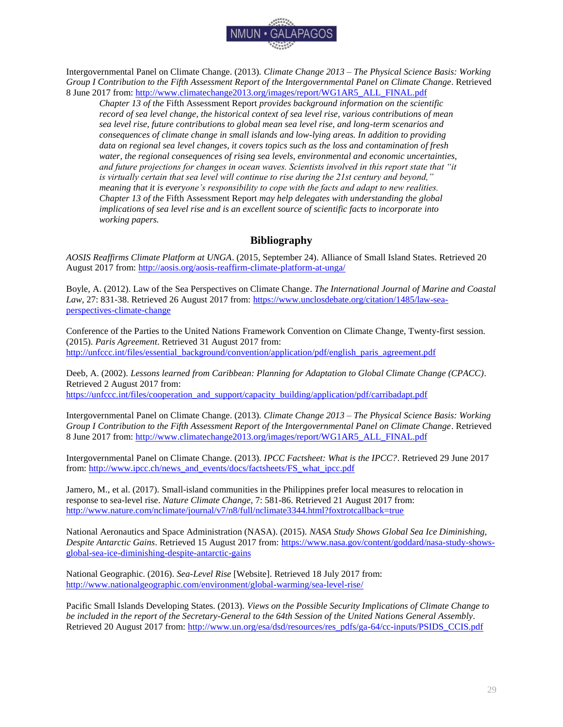

Intergovernmental Panel on Climate Change. (2013). *Climate Change 2013 – The Physical Science Basis: Working Group I Contribution to the Fifth Assessment Report of the Intergovernmental Panel on Climate Change*. Retrieved 8 June 2017 from: [http://www.climatechange2013.org/images/report/WG1AR5\\_ALL\\_FINAL.pdf](http://www.climatechange2013.org/images/report/WG1AR5_ALL_FINAL.pdf)

*Chapter 13 of the* Fifth Assessment Report *provides background information on the scientific record of sea level change, the historical context of sea level rise, various contributions of mean sea level rise, future contributions to global mean sea level rise, and long-term scenarios and consequences of climate change in small islands and low-lying areas. In addition to providing data on regional sea level changes, it covers topics such as the loss and contamination of fresh water, the regional consequences of rising sea levels, environmental and economic uncertainties, and future projections for changes in ocean waves. Scientists involved in this report state that "it is virtually certain that sea level will continue to rise during the 21st century and beyond," meaning that it is everyone's responsibility to cope with the facts and adapt to new realities. Chapter 13 of the* Fifth Assessment Report *may help delegates with understanding the global implications of sea level rise and is an excellent source of scientific facts to incorporate into working papers.*

## **Bibliography**

<span id="page-29-0"></span>*AOSIS Reaffirms Climate Platform at UNGA*. (2015, September 24). Alliance of Small Island States. Retrieved 20 August 2017 from:<http://aosis.org/aosis-reaffirm-climate-platform-at-unga/>

Boyle, A. (2012). Law of the Sea Perspectives on Climate Change. *The International Journal of Marine and Coastal*  Law, 27: 831-38. Retrieved 26 August 2017 from: [https://www.unclosdebate.org/citation/1485/law-sea](https://www.unclosdebate.org/citation/1485/law-sea-perspectives-climate-change)[perspectives-climate-change](https://www.unclosdebate.org/citation/1485/law-sea-perspectives-climate-change)

Conference of the Parties to the United Nations Framework Convention on Climate Change, Twenty-first session. (2015). *Paris Agreement*. Retrieved 31 August 2017 from: [http://unfccc.int/files/essential\\_background/convention/application/pdf/english\\_paris\\_agreement.pdf](http://unfccc.int/files/essential_background/convention/application/pdf/english_paris_agreement.pdf)

Deeb, A. (2002). *Lessons learned from Caribbean: Planning for Adaptation to Global Climate Change (CPACC)*. Retrieved 2 August 2017 from: [https://unfccc.int/files/cooperation\\_and\\_support/capacity\\_building/application/pdf/carribadapt.pdf](https://unfccc.int/files/cooperation_and_support/capacity_building/application/pdf/carribadapt.pdf)

Intergovernmental Panel on Climate Change. (2013). *Climate Change 2013 – The Physical Science Basis: Working Group I Contribution to the Fifth Assessment Report of the Intergovernmental Panel on Climate Change*. Retrieved 8 June 2017 from: [http://www.climatechange2013.org/images/report/WG1AR5\\_ALL\\_FINAL.pdf](http://www.climatechange2013.org/images/report/WG1AR5_ALL_FINAL.pdf)

Intergovernmental Panel on Climate Change. (2013). *IPCC Factsheet: What is the IPCC?*. Retrieved 29 June 2017 from[: http://www.ipcc.ch/news\\_and\\_events/docs/factsheets/FS\\_what\\_ipcc.pdf](http://www.ipcc.ch/news_and_events/docs/factsheets/FS_what_ipcc.pdf)

Jamero, M., et al. (2017). Small-island communities in the Philippines prefer local measures to relocation in response to sea-level rise. *Nature Climate Change*, 7: 581-86. Retrieved 21 August 2017 from: <http://www.nature.com/nclimate/journal/v7/n8/full/nclimate3344.html?foxtrotcallback=true>

National Aeronautics and Space Administration (NASA). (2015). *NASA Study Shows Global Sea Ice Diminishing, Despite Antarctic Gains*. Retrieved 15 August 2017 from: [https://www.nasa.gov/content/goddard/nasa-study-shows](https://www.nasa.gov/content/goddard/nasa-study-shows-global-sea-ice-diminishing-despite-antarctic-gains)[global-sea-ice-diminishing-despite-antarctic-gains](https://www.nasa.gov/content/goddard/nasa-study-shows-global-sea-ice-diminishing-despite-antarctic-gains)

National Geographic. (2016). *Sea-Level Rise* [Website]. Retrieved 18 July 2017 from: <http://www.nationalgeographic.com/environment/global-warming/sea-level-rise/>

Pacific Small Islands Developing States. (2013). *Views on the Possible Security Implications of Climate Change to be included in the report of the Secretary-General to the 64th Session of the United Nations General Assembly*. Retrieved 20 August 2017 from: [http://www.un.org/esa/dsd/resources/res\\_pdfs/ga-64/cc-inputs/PSIDS\\_CCIS.pdf](http://www.un.org/esa/dsd/resources/res_pdfs/ga-64/cc-inputs/PSIDS_CCIS.pdf)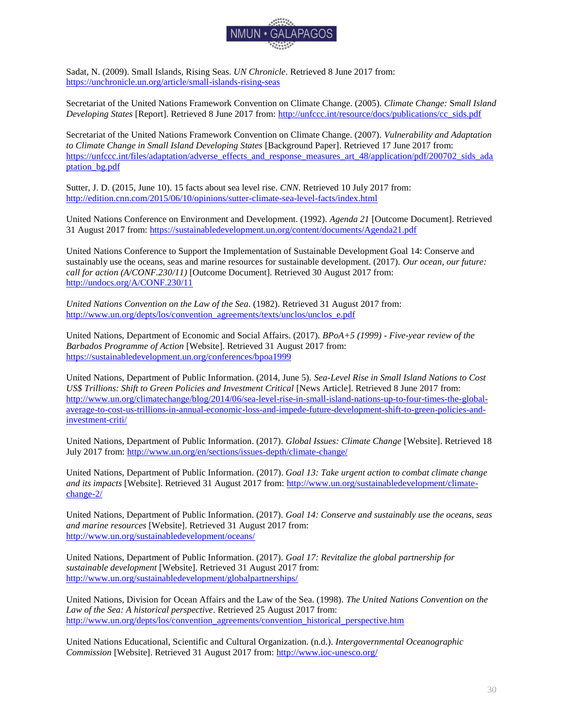

Sadat, N. (2009). Small Islands, Rising Seas. *UN Chronicle*. Retrieved 8 June 2017 from: <https://unchronicle.un.org/article/small-islands-rising-seas>

Secretariat of the United Nations Framework Convention on Climate Change. (2005). *Climate Change:* S*mall Island Developing States* [Report]. Retrieved 8 June 2017 from: [http://unfccc.int/resource/docs/publications/cc\\_sids.pdf](http://unfccc.int/resource/docs/publications/cc_sids.pdf)

Secretariat of the United Nations Framework Convention on Climate Change. (2007). *Vulnerability and Adaptation to Climate Change in Small Island Developing States* [Background Paper]. Retrieved 17 June 2017 from: [https://unfccc.int/files/adaptation/adverse\\_effects\\_and\\_response\\_measures\\_art\\_48/application/pdf/200702\\_sids\\_ada](https://unfccc.int/files/adaptation/adverse_effects_and_response_measures_art_48/application/pdf/200702_sids_adaptation_bg.pdf) [ptation\\_bg.pdf](https://unfccc.int/files/adaptation/adverse_effects_and_response_measures_art_48/application/pdf/200702_sids_adaptation_bg.pdf)

Sutter, J. D. (2015, June 10). 15 facts about sea level rise. *CNN*. Retrieved 10 July 2017 from: <http://edition.cnn.com/2015/06/10/opinions/sutter-climate-sea-level-facts/index.html>

United Nations Conference on Environment and Development. (1992). *Agenda 21* [Outcome Document]. Retrieved 31 August 2017 from:<https://sustainabledevelopment.un.org/content/documents/Agenda21.pdf>

United Nations Conference to Support the Implementation of Sustainable Development Goal 14: Conserve and sustainably use the oceans, seas and marine resources for sustainable development. (2017). *Our ocean, our future: call for action (A/CONF.230/11)* [Outcome Document]. Retrieved 30 August 2017 from: <http://undocs.org/A/CONF.230/11>

*United Nations Convention on the Law of the Sea*. (1982). Retrieved 31 August 2017 from: [http://www.un.org/depts/los/convention\\_agreements/texts/unclos/unclos\\_e.pdf](http://www.un.org/depts/los/convention_agreements/texts/unclos/unclos_e.pdf)

United Nations, Department of Economic and Social Affairs. (2017). *BPoA+5 (1999) - Five-year review of the Barbados Programme of Action* [Website]. Retrieved 31 August 2017 from: <https://sustainabledevelopment.un.org/conferences/bpoa1999>

United Nations, Department of Public Information. (2014, June 5). *Sea-Level Rise in Small Island Nations to Cost*  US\$ Trillions: Shift to Green Policies and Investment Critical [News Article]. Retrieved 8 June 2017 from: [http://www.un.org/climatechange/blog/2014/06/sea-level-rise-in-small-island-nations-up-to-four-times-the-global](http://www.un.org/climatechange/blog/2014/06/sea-level-rise-in-small-island-nations-up-to-four-times-the-global-average-to-cost-us-trillions-in-annual-economic-loss-and-impede-future-development-shift-to-green-policies-and-investment-criti/)[average-to-cost-us-trillions-in-annual-economic-loss-and-impede-future-development-shift-to-green-policies-and](http://www.un.org/climatechange/blog/2014/06/sea-level-rise-in-small-island-nations-up-to-four-times-the-global-average-to-cost-us-trillions-in-annual-economic-loss-and-impede-future-development-shift-to-green-policies-and-investment-criti/)[investment-criti/](http://www.un.org/climatechange/blog/2014/06/sea-level-rise-in-small-island-nations-up-to-four-times-the-global-average-to-cost-us-trillions-in-annual-economic-loss-and-impede-future-development-shift-to-green-policies-and-investment-criti/)

United Nations, Department of Public Information. (2017). *Global Issues: Climate Change* [Website]. Retrieved 18 July 2017 from:<http://www.un.org/en/sections/issues-depth/climate-change/>

United Nations, Department of Public Information. (2017). *Goal 13: Take urgent action to combat climate change and its impacts* [Website]. Retrieved 31 August 2017 from: [http://www.un.org/sustainabledevelopment/climate](http://www.un.org/sustainabledevelopment/climate-change-2/)[change-2/](http://www.un.org/sustainabledevelopment/climate-change-2/)

United Nations, Department of Public Information. (2017). *Goal 14: Conserve and sustainably use the oceans, seas and marine resources* [Website]. Retrieved 31 August 2017 from: <http://www.un.org/sustainabledevelopment/oceans/>

United Nations, Department of Public Information. (2017). *Goal 17: Revitalize the global partnership for sustainable development* [Website]. Retrieved 31 August 2017 from: <http://www.un.org/sustainabledevelopment/globalpartnerships/>

United Nations, Division for Ocean Affairs and the Law of the Sea. (1998). *The United Nations Convention on the Law of the Sea: A historical perspective*. Retrieved 25 August 2017 from: [http://www.un.org/depts/los/convention\\_agreements/convention\\_historical\\_perspective.htm](http://www.un.org/depts/los/convention_agreements/convention_historical_perspective.htm)

United Nations Educational, Scientific and Cultural Organization. (n.d.). *Intergovernmental Oceanographic Commission* [Website]. Retrieved 31 August 2017 from:<http://www.ioc-unesco.org/>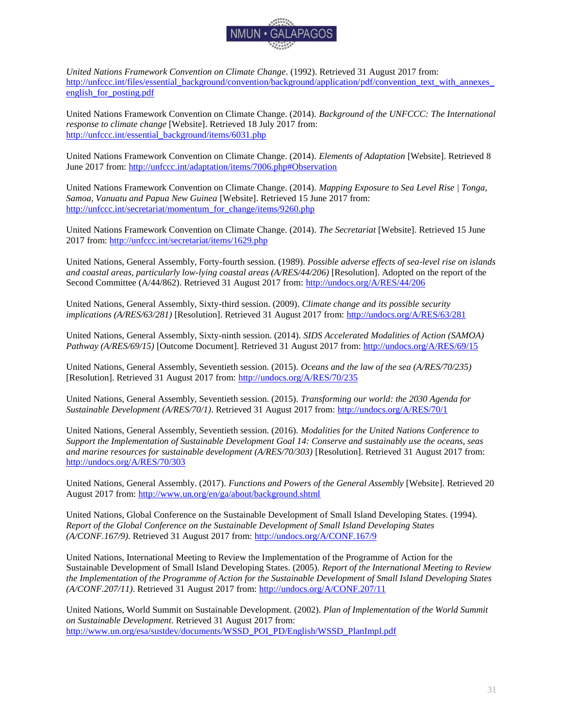

*United Nations Framework Convention on Climate Change*. (1992). Retrieved 31 August 2017 from: http://unfccc.int/files/essential\_background/convention/background/application/pdf/convention\_text\_with\_annexes english for posting.pdf

United Nations Framework Convention on Climate Change. (2014). *Background of the UNFCCC: The International response to climate change* [Website]. Retrieved 18 July 2017 from: [http://unfccc.int/essential\\_background/items/6031.php](http://unfccc.int/essential_background/items/6031.php)

United Nations Framework Convention on Climate Change. (2014). *Elements of Adaptation* [Website]. Retrieved 8 June 2017 from:<http://unfccc.int/adaptation/items/7006.php#Observation>

United Nations Framework Convention on Climate Change. (2014). *Mapping Exposure to Sea Level Rise | Tonga, Samoa, Vanuatu and Papua New Guinea* [Website]. Retrieved 15 June 2017 from: [http://unfccc.int/secretariat/momentum\\_for\\_change/items/9260.php](http://unfccc.int/secretariat/momentum_for_change/items/9260.php)

United Nations Framework Convention on Climate Change. (2014). *The Secretariat* [Website]. Retrieved 15 June 2017 from:<http://unfccc.int/secretariat/items/1629.php>

United Nations, General Assembly, Forty-fourth session. (1989). *Possible adverse effects of sea-level rise on islands*  and coastal areas, particularly low-lying coastal areas (A/RES/44/206) [Resolution]. Adopted on the report of the Second Committee (A/44/862). Retrieved 31 August 2017 from:<http://undocs.org/A/RES/44/206>

United Nations, General Assembly, Sixty-third session. (2009). *Climate change and its possible security implications (A/RES/63/281)* [Resolution]. Retrieved 31 August 2017 from:<http://undocs.org/A/RES/63/281>

United Nations, General Assembly, Sixty-ninth session. (2014). *SIDS Accelerated Modalities of Action (SAMOA) Pathway (A/RES/69/15)* [Outcome Document]. Retrieved 31 August 2017 from:<http://undocs.org/A/RES/69/15>

United Nations, General Assembly, Seventieth session. (2015). *Oceans and the law of the sea (A/RES/70/235)*  [Resolution]. Retrieved 31 August 2017 from:<http://undocs.org/A/RES/70/235>

United Nations, General Assembly, Seventieth session. (2015). *Transforming our world: the 2030 Agenda for Sustainable Development (A/RES/70/1)*. Retrieved 31 August 2017 from:<http://undocs.org/A/RES/70/1>

United Nations, General Assembly, Seventieth session. (2016). *Modalities for the United Nations Conference to Support the Implementation of Sustainable Development Goal 14: Conserve and sustainably use the oceans, seas and marine resources for sustainable development (A/RES/70/303)* [Resolution]. Retrieved 31 August 2017 from: <http://undocs.org/A/RES/70/303>

United Nations, General Assembly. (2017). *Functions and Powers of the General Assembly* [Website]. Retrieved 20 August 2017 from:<http://www.un.org/en/ga/about/background.shtml>

United Nations, Global Conference on the Sustainable Development of Small Island Developing States. (1994). *Report of the Global Conference on the Sustainable Development of Small Island Developing States (A/CONF.167/9)*. Retrieved 31 August 2017 from:<http://undocs.org/A/CONF.167/9>

United Nations, International Meeting to Review the Implementation of the Programme of Action for the Sustainable Development of Small Island Developing States. (2005). *Report of the International Meeting to Review the Implementation of the Programme of Action for the Sustainable Development of Small Island Developing States (A/CONF.207/11)*. Retrieved 31 August 2017 from:<http://undocs.org/A/CONF.207/11>

United Nations, World Summit on Sustainable Development. (2002). *Plan of Implementation of the World Summit on Sustainable Development*. Retrieved 31 August 2017 from: [http://www.un.org/esa/sustdev/documents/WSSD\\_POI\\_PD/English/WSSD\\_PlanImpl.pdf](http://www.un.org/esa/sustdev/documents/WSSD_POI_PD/English/WSSD_PlanImpl.pdf)